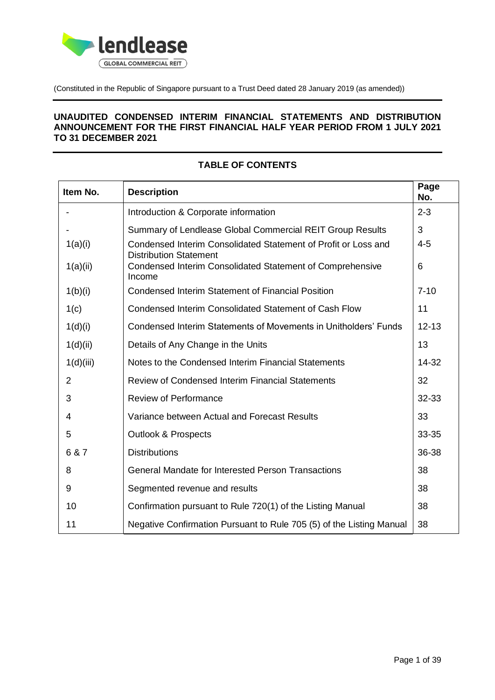

(Constituted in the Republic of Singapore pursuant to a Trust Deed dated 28 January 2019 (as amended))

### **UNAUDITED CONDENSED INTERIM FINANCIAL STATEMENTS AND DISTRIBUTION ANNOUNCEMENT FOR THE FIRST FINANCIAL HALF YEAR PERIOD FROM 1 JULY 2021 TO 31 DECEMBER 2021**

| Item No.       | <b>Description</b>                                                                              | Page<br>No. |
|----------------|-------------------------------------------------------------------------------------------------|-------------|
|                | Introduction & Corporate information                                                            | $2 - 3$     |
|                | Summary of Lendlease Global Commercial REIT Group Results                                       | 3           |
| 1(a)(i)        | Condensed Interim Consolidated Statement of Profit or Loss and<br><b>Distribution Statement</b> | $4 - 5$     |
| 1(a)(ii)       | Condensed Interim Consolidated Statement of Comprehensive<br>Income                             | 6           |
| 1(b)(i)        | <b>Condensed Interim Statement of Financial Position</b>                                        | $7 - 10$    |
| 1(c)           | Condensed Interim Consolidated Statement of Cash Flow                                           | 11          |
| 1(d)(i)        | <b>Condensed Interim Statements of Movements in Unitholders' Funds</b>                          | $12 - 13$   |
| 1(d)(ii)       | Details of Any Change in the Units                                                              | 13          |
| 1(d)(iii)      | Notes to the Condensed Interim Financial Statements                                             | 14-32       |
| $\overline{2}$ | Review of Condensed Interim Financial Statements                                                | 32          |
| 3              | <b>Review of Performance</b>                                                                    | 32-33       |
| 4              | Variance between Actual and Forecast Results                                                    | 33          |
| 5              | <b>Outlook &amp; Prospects</b>                                                                  | 33-35       |
| 6 & 7          | <b>Distributions</b>                                                                            | 36-38       |
| 8              | <b>General Mandate for Interested Person Transactions</b>                                       | 38          |
| 9              | Segmented revenue and results                                                                   | 38          |
| 10             | Confirmation pursuant to Rule 720(1) of the Listing Manual                                      | 38          |
| 11             | Negative Confirmation Pursuant to Rule 705 (5) of the Listing Manual                            | 38          |

## **TABLE OF CONTENTS**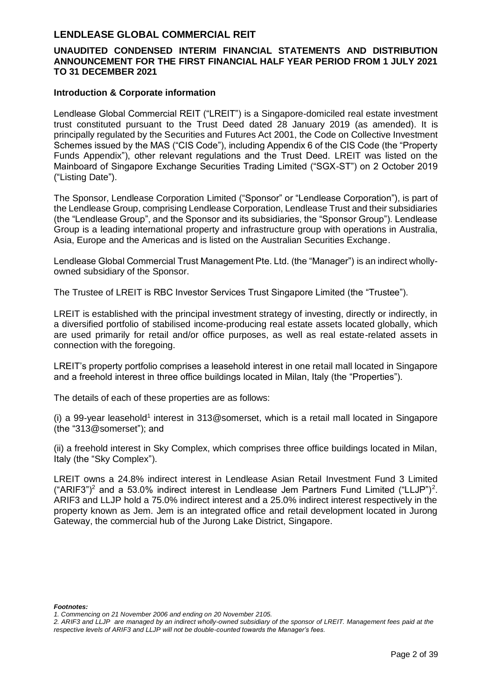### **UNAUDITED CONDENSED INTERIM FINANCIAL STATEMENTS AND DISTRIBUTION ANNOUNCEMENT FOR THE FIRST FINANCIAL HALF YEAR PERIOD FROM 1 JULY 2021 TO 31 DECEMBER 2021**

#### **Introduction & Corporate information**

Lendlease Global Commercial REIT ("LREIT") is a Singapore-domiciled real estate investment trust constituted pursuant to the Trust Deed dated 28 January 2019 (as amended). It is principally regulated by the Securities and Futures Act 2001, the Code on Collective Investment Schemes issued by the MAS ("CIS Code"), including Appendix 6 of the CIS Code (the "Property Funds Appendix"), other relevant regulations and the Trust Deed. LREIT was listed on the Mainboard of Singapore Exchange Securities Trading Limited ("SGX-ST") on 2 October 2019 ("Listing Date").

The Sponsor, Lendlease Corporation Limited ("Sponsor" or "Lendlease Corporation"), is part of the Lendlease Group, comprising Lendlease Corporation, Lendlease Trust and their subsidiaries (the "Lendlease Group", and the Sponsor and its subsidiaries, the "Sponsor Group"). Lendlease Group is a leading international property and infrastructure group with operations in Australia, Asia, Europe and the Americas and is listed on the Australian Securities Exchange.

Lendlease Global Commercial Trust Management Pte. Ltd. (the "Manager") is an indirect whollyowned subsidiary of the Sponsor.

The Trustee of LREIT is RBC Investor Services Trust Singapore Limited (the "Trustee").

LREIT is established with the principal investment strategy of investing, directly or indirectly, in a diversified portfolio of stabilised income-producing real estate assets located globally, which are used primarily for retail and/or office purposes, as well as real estate-related assets in connection with the foregoing.

LREIT's property portfolio comprises a leasehold interest in one retail mall located in Singapore and a freehold interest in three office buildings located in Milan, Italy (the "Properties").

The details of each of these properties are as follows:

 $(i)$  a 99-year leasehold<sup>1</sup> interest in 313@somerset, which is a retail mall located in Singapore (the "313@somerset"); and

(ii) a freehold interest in Sky Complex, which comprises three office buildings located in Milan, Italy (the "Sky Complex").

LREIT owns a 24.8% indirect interest in Lendlease Asian Retail Investment Fund 3 Limited ("ARIF3")<sup>2</sup> and a 53.0% indirect interest in Lendlease Jem Partners Fund Limited ("LLJP")<sup>2</sup>. ARIF3 and LLJP hold a 75.0% indirect interest and a 25.0% indirect interest respectively in the property known as Jem. Jem is an integrated office and retail development located in Jurong Gateway, the commercial hub of the Jurong Lake District, Singapore.

*Footnotes:*

*<sup>1.</sup> Commencing on 21 November 2006 and ending on 20 November 2105.*

*<sup>2.</sup> ARIF3 and LLJP are managed by an indirect wholly-owned subsidiary of the sponsor of LREIT. Management fees paid at the respective levels of ARIF3 and LLJP will not be double-counted towards the Manager's fees.*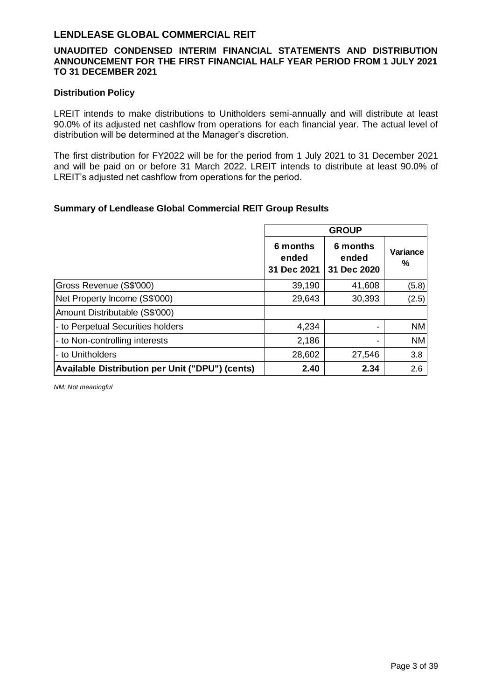### **UNAUDITED CONDENSED INTERIM FINANCIAL STATEMENTS AND DISTRIBUTION ANNOUNCEMENT FOR THE FIRST FINANCIAL HALF YEAR PERIOD FROM 1 JULY 2021 TO 31 DECEMBER 2021**

#### **Distribution Policy**

LREIT intends to make distributions to Unitholders semi-annually and will distribute at least 90.0% of its adjusted net cashflow from operations for each financial year. The actual level of distribution will be determined at the Manager's discretion.

The first distribution for FY2022 will be for the period from 1 July 2021 to 31 December 2021 and will be paid on or before 31 March 2022. LREIT intends to distribute at least 90.0% of LREIT's adjusted net cashflow from operations for the period.

### **Summary of Lendlease Global Commercial REIT Group Results**

|                                                        | <b>GROUP</b>                     |                                  |               |
|--------------------------------------------------------|----------------------------------|----------------------------------|---------------|
|                                                        | 6 months<br>ended<br>31 Dec 2021 | 6 months<br>ended<br>31 Dec 2020 | Variance<br>℅ |
| Gross Revenue (S\$'000)                                | 39,190                           | 41,608                           | (5.8)         |
| Net Property Income (S\$'000)                          | 29,643                           | 30,393                           | (2.5)         |
| Amount Distributable (S\$'000)                         |                                  |                                  |               |
| - to Perpetual Securities holders                      | 4,234                            |                                  | <b>NM</b>     |
| - to Non-controlling interests                         | 2,186                            |                                  | NM            |
| - to Unitholders                                       | 28,602                           | 27,546                           | 3.8           |
| <b>Available Distribution per Unit ("DPU") (cents)</b> | 2.40                             | 2.34                             | 2.6           |

*NM: Not meaningful*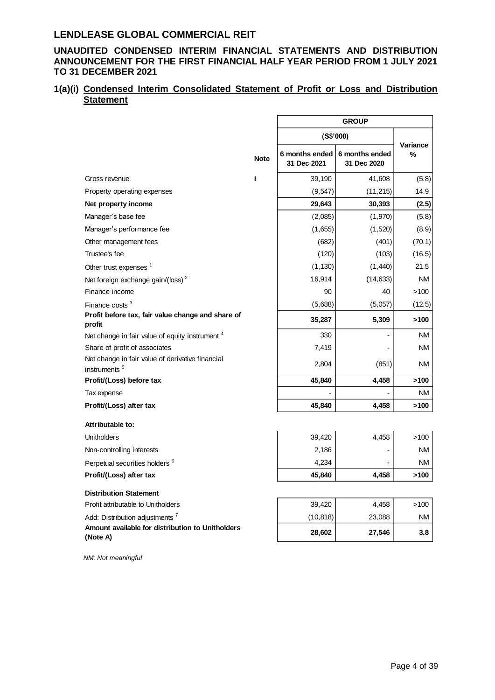### **UNAUDITED CONDENSED INTERIM FINANCIAL STATEMENTS AND DISTRIBUTION ANNOUNCEMENT FOR THE FIRST FINANCIAL HALF YEAR PERIOD FROM 1 JULY 2021 TO 31 DECEMBER 2021**

### **1(a)(i) Condensed Interim Consolidated Statement of Profit or Loss and Distribution Statement**

|                                                                              |             | <b>GROUP</b>                  |                               |               |
|------------------------------------------------------------------------------|-------------|-------------------------------|-------------------------------|---------------|
|                                                                              |             | (S\$'000)                     |                               |               |
|                                                                              | <b>Note</b> | 6 months ended<br>31 Dec 2021 | 6 months ended<br>31 Dec 2020 | Variance<br>% |
| Gross revenue                                                                | i.          | 39,190                        | 41,608                        | (5.8)         |
| Property operating expenses                                                  |             | (9, 547)                      | (11, 215)                     | 14.9          |
| Net property income                                                          |             | 29,643                        | 30,393                        | (2.5)         |
| Manager's base fee                                                           |             | (2,085)                       | (1,970)                       | (5.8)         |
| Manager's performance fee                                                    |             | (1,655)                       | (1,520)                       | (8.9)         |
| Other management fees                                                        |             | (682)                         | (401)                         | (70.1)        |
| Trustee's fee                                                                |             | (120)                         | (103)                         | (16.5)        |
| Other trust expenses <sup>1</sup>                                            |             | (1, 130)                      | (1,440)                       | 21.5          |
| Net foreign exchange gain/(loss) <sup>2</sup>                                |             | 16,914                        | (14, 633)                     | <b>NM</b>     |
| Finance income                                                               |             | 90                            | 40                            | >100          |
| Finance costs <sup>3</sup>                                                   |             | (5,688)                       | (5,057)                       | (12.5)        |
| Profit before tax, fair value change and share of<br>profit                  |             | 35,287                        | 5,309                         | >100          |
| Net change in fair value of equity instrument <sup>4</sup>                   |             | 330                           |                               | <b>NM</b>     |
| Share of profit of associates                                                |             | 7,419                         |                               | ΝM            |
| Net change in fair value of derivative financial<br>instruments <sup>5</sup> |             | 2,804                         | (851)                         | NM.           |
| Profit/(Loss) before tax                                                     |             | 45,840                        | 4,458                         | >100          |
| Tax expense                                                                  |             |                               |                               | <b>NM</b>     |
| Profit/(Loss) after tax                                                      |             | 45,840                        | 4,458                         | >100          |
| Attributable to:                                                             |             |                               |                               |               |
| <b>Unitholders</b>                                                           |             | 39,420                        | 4,458                         | >100          |
| Non-controlling interests                                                    |             | 2,186                         |                               | NM.           |
| Perpetual securities holders <sup>6</sup>                                    |             | 4,234                         |                               | <b>NM</b>     |
| Profit/(Loss) after tax                                                      |             | 45,840                        | 4,458                         | >100          |
| <b>Distribution Statement</b>                                                |             |                               |                               |               |
| Profit attributable to Unitholders                                           |             | 39,420                        | 4,458                         | >100          |
| Add: Distribution adjustments <sup>7</sup>                                   |             | (10,818)                      | 23,088                        | ΝM            |
| Amount available for distribution to Unitholders<br>(Note A)                 |             | 28,602                        | 27,546                        | 3.8           |

*NM: Not meaningful*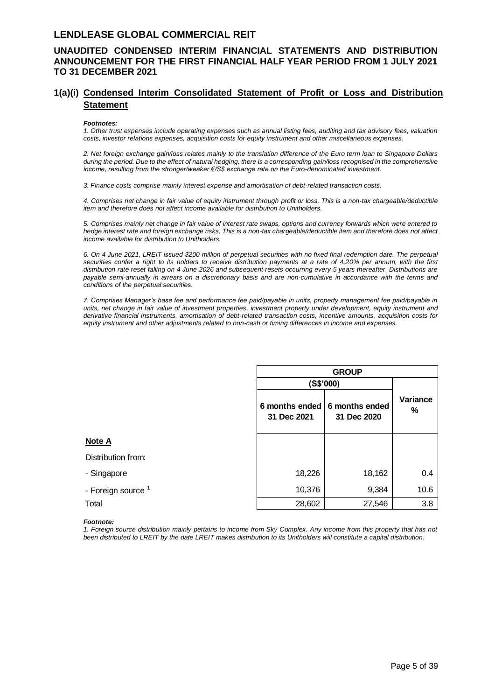### **UNAUDITED CONDENSED INTERIM FINANCIAL STATEMENTS AND DISTRIBUTION ANNOUNCEMENT FOR THE FIRST FINANCIAL HALF YEAR PERIOD FROM 1 JULY 2021 TO 31 DECEMBER 2021**

### **1(a)(i) Condensed Interim Consolidated Statement of Profit or Loss and Distribution Statement**

#### *Footnotes:*

*1. Other trust expenses include operating expenses such as annual listing fees, auditing and tax advisory fees, valuation costs, investor relations expenses, acquisition costs for equity instrument and other miscellaneous expenses.*

*2. Net foreign exchange gain/loss relates mainly to the translation difference of the Euro term loan to Singapore Dollars during the period. Due to the effect of natural hedging, there is a corresponding gain/loss recognised in the comprehensive income, resulting from the stronger/weaker €/S\$ exchange rate on the Euro-denominated investment.* 

*3. Finance costs comprise mainly interest expense and amortisation of debt-related transaction costs.*

*4. Comprises net change in fair value of equity instrument through profit or loss. This is a non-tax chargeable/deductible item and therefore does not affect income available for distribution to Unitholders.*

*5. Comprises mainly net change in fair value of interest rate swaps, options and currency forwards which were entered to hedge interest rate and foreign exchange risks. This is a non-tax chargeable/deductible item and therefore does not affect income available for distribution to Unitholders.*

*6. On 4 June 2021, LREIT issued \$200 million of perpetual securities with no fixed final redemption date. The perpetual securities confer a right to its holders to receive distribution payments at a rate of 4.20% per annum, with the first distribution rate reset falling on 4 June 2026 and subsequent resets occurring every 5 years thereafter. Distributions are payable semi-annually in arrears on a discretionary basis and are non-cumulative in accordance with the terms and conditions of the perpetual securities.*

*7. Comprises Manager's base fee and performance fee paid/payable in units, property management fee paid/payable in units, net change in fair value of investment properties, investment property under development, equity instrument and derivative financial instruments, amortisation of debt-related transaction costs, incentive amounts, acquisition costs for equity instrument and other adjustments related to non-cash or timing differences in income and expenses.*

|                               | <b>GROUP</b>                                 |             |               |
|-------------------------------|----------------------------------------------|-------------|---------------|
|                               |                                              | (S\$'000)   |               |
|                               | 6 months ended 6 months ended<br>31 Dec 2021 | 31 Dec 2020 | Variance<br>% |
| Note A                        |                                              |             |               |
| Distribution from:            |                                              |             |               |
| - Singapore                   | 18,226                                       | 18,162      | 0.4           |
| - Foreign source <sup>1</sup> | 10,376                                       | 9,384       | 10.6          |
| Total                         | 28,602                                       | 27,546      | 3.8           |

#### *Footnote:*

*1. Foreign source distribution mainly pertains to income from Sky Complex. Any income from this property that has not been distributed to LREIT by the date LREIT makes distribution to its Unitholders will constitute a capital distribution.*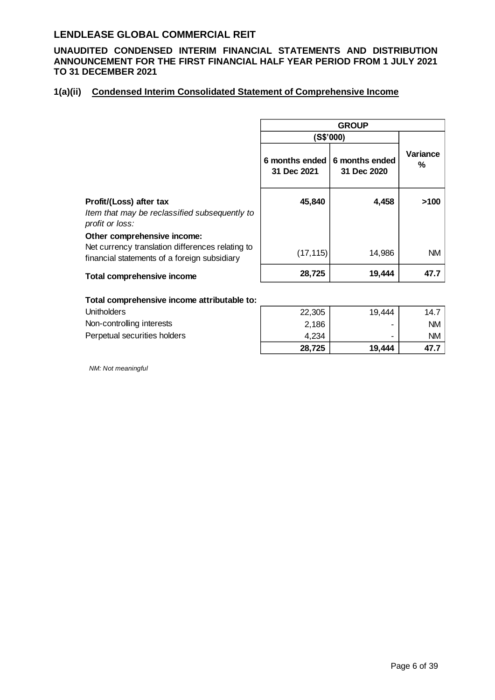**UNAUDITED CONDENSED INTERIM FINANCIAL STATEMENTS AND DISTRIBUTION ANNOUNCEMENT FOR THE FIRST FINANCIAL HALF YEAR PERIOD FROM 1 JULY 2021 TO 31 DECEMBER 2021**

### **1(a)(ii) Condensed Interim Consolidated Statement of Comprehensive Income**

|                                                                                                                                 | <b>GROUP</b>                  |                               |               |
|---------------------------------------------------------------------------------------------------------------------------------|-------------------------------|-------------------------------|---------------|
|                                                                                                                                 |                               | (S\$'000)                     |               |
|                                                                                                                                 | 6 months ended<br>31 Dec 2021 | 6 months ended<br>31 Dec 2020 | Variance<br>% |
| Profit/(Loss) after tax<br>Item that may be reclassified subsequently to<br>profit or loss:                                     | 45,840                        | 4,458                         | >100          |
| Other comprehensive income:<br>Net currency translation differences relating to<br>financial statements of a foreign subsidiary | (17, 115)                     | 14,986                        | <b>NM</b>     |
| <b>Total comprehensive income</b>                                                                                               | 28,725                        | 19,444                        | 47.7          |

#### **Total comprehensive income attributable to:**

| <b>Unitholders</b>           | 22,305 | 19.444 | 14.7      |
|------------------------------|--------|--------|-----------|
| Non-controlling interests    | 2,186  | ۰      | <b>NM</b> |
| Perpetual securities holders | 4.234  | ۰      | ΝM        |
|                              | 28,725 | 19,444 | 47.       |

*NM: Not meaningful*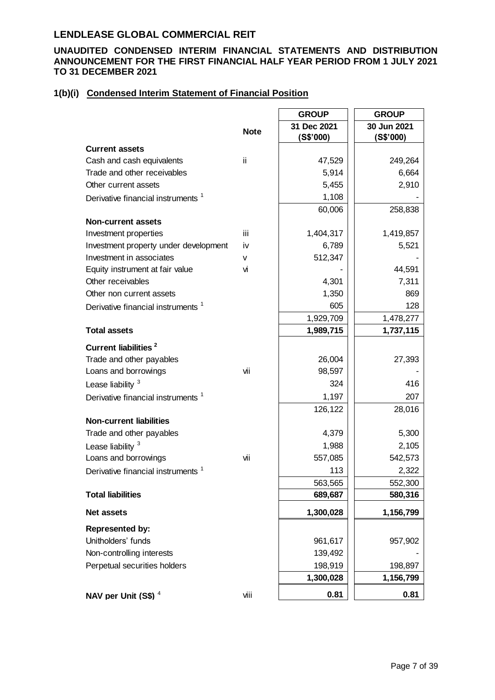### **UNAUDITED CONDENSED INTERIM FINANCIAL STATEMENTS AND DISTRIBUTION ANNOUNCEMENT FOR THE FIRST FINANCIAL HALF YEAR PERIOD FROM 1 JULY 2021 TO 31 DECEMBER 2021**

### **1(b)(i) Condensed Interim Statement of Financial Position**

|                                               |             | <b>GROUP</b> | <b>GROUP</b> |
|-----------------------------------------------|-------------|--------------|--------------|
|                                               | <b>Note</b> | 31 Dec 2021  | 30 Jun 2021  |
|                                               |             | (S\$'000)    | (S\$'000)    |
| <b>Current assets</b>                         |             |              |              |
| Cash and cash equivalents                     | ii          | 47,529       | 249,264      |
| Trade and other receivables                   |             | 5,914        | 6,664        |
| Other current assets                          |             | 5,455        | 2,910        |
| Derivative financial instruments <sup>1</sup> |             | 1,108        |              |
|                                               |             | 60,006       | 258,838      |
| <b>Non-current assets</b>                     |             |              |              |
| Investment properties                         | iii         | 1,404,317    | 1,419,857    |
| Investment property under development         | i٧          | 6,789        | 5,521        |
| Investment in associates                      | v           | 512,347      |              |
| Equity instrument at fair value               | vi          |              | 44,591       |
| Other receivables                             |             | 4,301        | 7,311        |
| Other non current assets                      |             | 1,350        | 869          |
| Derivative financial instruments <sup>1</sup> |             | 605          | 128          |
|                                               |             | 1,929,709    | 1,478,277    |
| <b>Total assets</b>                           |             | 1,989,715    | 1,737,115    |
| <b>Current liabilities<sup>2</sup></b>        |             |              |              |
| Trade and other payables                      |             | 26,004       | 27,393       |
| Loans and borrowings                          | vii         | 98,597       |              |
| Lease liability <sup>3</sup>                  |             | 324          | 416          |
| Derivative financial instruments <sup>1</sup> |             | 1,197        | 207          |
|                                               |             | 126,122      | 28,016       |
| <b>Non-current liabilities</b>                |             |              |              |
| Trade and other payables                      |             | 4,379        | 5,300        |
| Lease liability <sup>3</sup>                  |             | 1,988        | 2,105        |
| Loans and borrowings                          | vii         | 557,085      | 542,573      |
| Derivative financial instruments <sup>1</sup> |             | 113          | 2,322        |
|                                               |             | 563,565      | 552,300      |
| <b>Total liabilities</b>                      |             | 689,687      | 580,316      |
| <b>Net assets</b>                             |             | 1,300,028    | 1,156,799    |
| <b>Represented by:</b>                        |             |              |              |
| Unitholders' funds                            |             | 961,617      | 957,902      |
| Non-controlling interests                     |             | 139,492      |              |
| Perpetual securities holders                  |             | 198,919      | 198,897      |
|                                               |             | 1,300,028    | 1,156,799    |
| NAV per Unit (S\$) <sup>4</sup>               | viii        | 0.81         | 0.81         |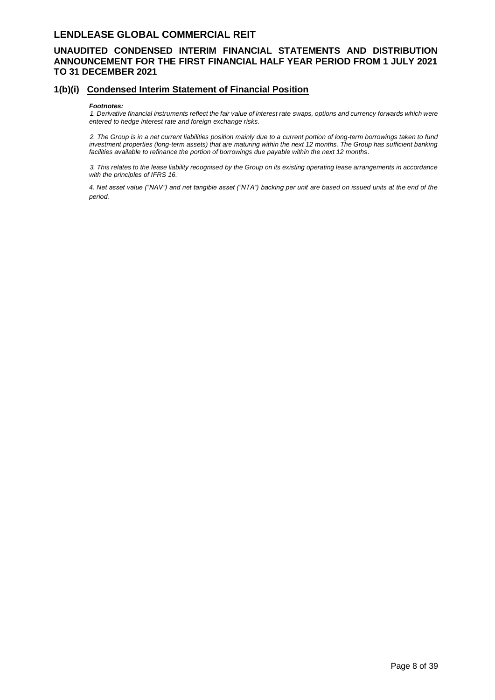### **UNAUDITED CONDENSED INTERIM FINANCIAL STATEMENTS AND DISTRIBUTION ANNOUNCEMENT FOR THE FIRST FINANCIAL HALF YEAR PERIOD FROM 1 JULY 2021 TO 31 DECEMBER 2021**

#### **1(b)(i) Condensed Interim Statement of Financial Position**

#### *Footnotes:*

*1. Derivative financial instruments reflect the fair value of interest rate swaps, options and currency forwards which were entered to hedge interest rate and foreign exchange risks.*

*2. The Group is in a net current liabilities position mainly due to a current portion of long-term borrowings taken to fund*  investment properties (long-term assets) that are maturing within the next 12 months. The Group has sufficient banking *facilities available to refinance the portion of borrowings due payable within the next 12 months.*

*3. This relates to the lease liability recognised by the Group on its existing operating lease arrangements in accordance with the principles of IFRS 16.* 

*4. Net asset value ("NAV") and net tangible asset ("NTA") backing per unit are based on issued units at the end of the period.*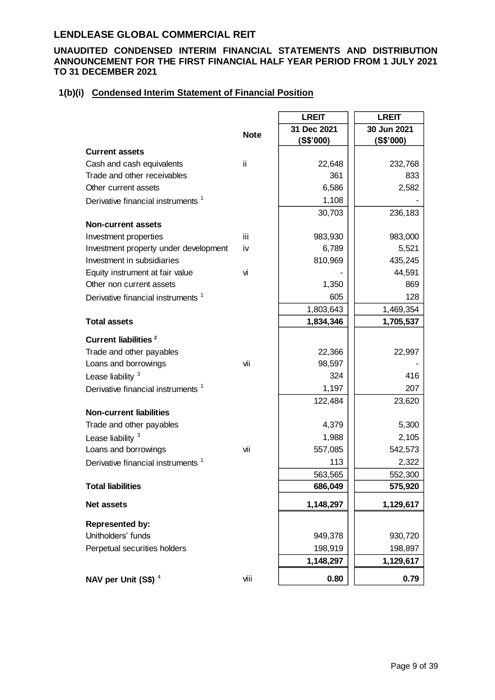### **UNAUDITED CONDENSED INTERIM FINANCIAL STATEMENTS AND DISTRIBUTION ANNOUNCEMENT FOR THE FIRST FINANCIAL HALF YEAR PERIOD FROM 1 JULY 2021 TO 31 DECEMBER 2021**

### **1(b)(i) Condensed Interim Statement of Financial Position**

|                                               |             | <b>LREIT</b> | <b>LREIT</b> |
|-----------------------------------------------|-------------|--------------|--------------|
|                                               | <b>Note</b> | 31 Dec 2021  | 30 Jun 2021  |
|                                               |             | (S\$'000)    | (S\$'000)    |
| <b>Current assets</b>                         |             |              |              |
| Cash and cash equivalents                     | ii.         | 22,648       | 232,768      |
| Trade and other receivables                   |             | 361          | 833          |
| Other current assets                          |             | 6,586        | 2,582        |
| Derivative financial instruments <sup>1</sup> |             | 1,108        |              |
|                                               |             | 30,703       | 236,183      |
| <b>Non-current assets</b>                     |             |              |              |
| Investment properties                         | iii         | 983,930      | 983,000      |
| Investment property under development         | iv          | 6,789        | 5,521        |
| Investment in subsidiaries                    |             | 810,969      | 435,245      |
| Equity instrument at fair value               | vi          |              | 44,591       |
| Other non current assets                      |             | 1,350        | 869          |
| Derivative financial instruments <sup>1</sup> |             | 605          | 128          |
|                                               |             | 1,803,643    | 1,469,354    |
| <b>Total assets</b>                           |             | 1,834,346    | 1,705,537    |
| <b>Current liabilities<sup>2</sup></b>        |             |              |              |
| Trade and other payables                      |             | 22,366       | 22,997       |
| Loans and borrowings                          | vii         | 98,597       |              |
| Lease liability $3$                           |             | 324          | 416          |
| Derivative financial instruments <sup>1</sup> |             | 1,197        | 207          |
|                                               |             | 122,484      | 23,620       |
| <b>Non-current liabilities</b>                |             |              |              |
| Trade and other payables                      |             | 4,379        | 5,300        |
| Lease liability <sup>3</sup>                  |             | 1,988        | 2,105        |
| Loans and borrowings                          | vii         | 557,085      | 542,573      |
| Derivative financial instruments <sup>1</sup> |             | 113          | 2,322        |
|                                               |             | 563,565      | 552,300      |
| <b>Total liabilities</b>                      |             | 686,049      | 575,920      |
| <b>Net assets</b>                             |             | 1,148,297    | 1,129,617    |
| <b>Represented by:</b>                        |             |              |              |
| Unitholders' funds                            |             | 949,378      | 930,720      |
| Perpetual securities holders                  |             | 198,919      | 198,897      |
|                                               |             | 1,148,297    | 1,129,617    |
| NAV per Unit $(S$)^4$                         | viii        | 0.80         | 0.79         |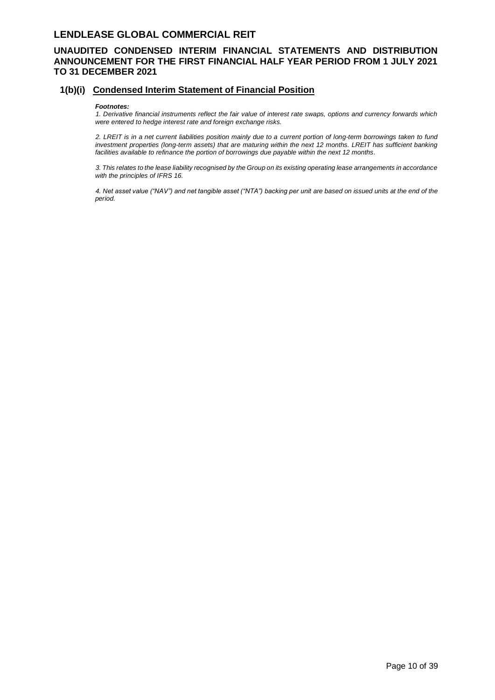### **UNAUDITED CONDENSED INTERIM FINANCIAL STATEMENTS AND DISTRIBUTION ANNOUNCEMENT FOR THE FIRST FINANCIAL HALF YEAR PERIOD FROM 1 JULY 2021 TO 31 DECEMBER 2021**

#### **1(b)(i) Condensed Interim Statement of Financial Position**

#### *Footnotes:*

*1. Derivative financial instruments reflect the fair value of interest rate swaps, options and currency forwards which were entered to hedge interest rate and foreign exchange risks.*

*2. LREIT is in a net current liabilities position mainly due to a current portion of long-term borrowings taken to fund investment properties (long-term assets) that are maturing within the next 12 months. LREIT has sufficient banking facilities available to refinance the portion of borrowings due payable within the next 12 months.*

*3. This relates to the lease liability recognised by the Group on its existing operating lease arrangements in accordance with the principles of IFRS 16.* 

*4. Net asset value ("NAV") and net tangible asset ("NTA") backing per unit are based on issued units at the end of the period.*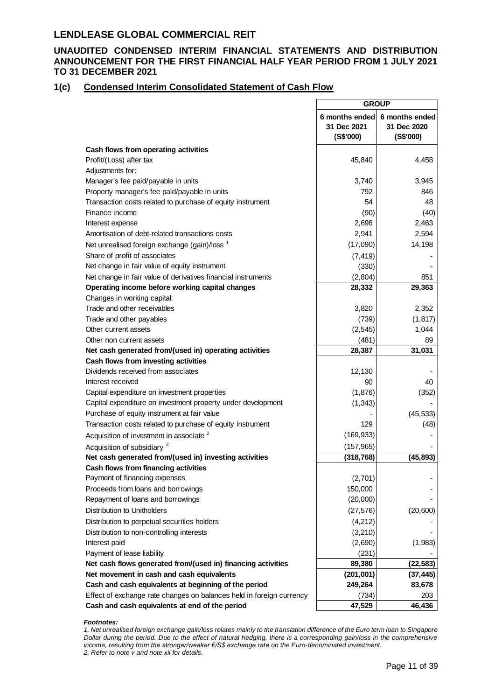### **UNAUDITED CONDENSED INTERIM FINANCIAL STATEMENTS AND DISTRIBUTION ANNOUNCEMENT FOR THE FIRST FINANCIAL HALF YEAR PERIOD FROM 1 JULY 2021 TO 31 DECEMBER 2021**

### **1(c) Condensed Interim Consolidated Statement of Cash Flow**

|                                                                      | <b>GROUP</b>                               |                                            |
|----------------------------------------------------------------------|--------------------------------------------|--------------------------------------------|
|                                                                      | 6 months ended<br>31 Dec 2021<br>(S\$'000) | 6 months ended<br>31 Dec 2020<br>(S\$'000) |
| Cash flows from operating activities                                 |                                            |                                            |
| Profit/(Loss) after tax                                              | 45,840                                     | 4,458                                      |
| Adjustments for:                                                     |                                            |                                            |
| Manager's fee paid/payable in units                                  | 3,740                                      | 3,945                                      |
| Property manager's fee paid/payable in units                         | 792                                        | 846                                        |
| Transaction costs related to purchase of equity instrument           | 54                                         | 48                                         |
| Finance income                                                       | (90)                                       | (40)                                       |
| Interest expense                                                     | 2,698                                      | 2,463                                      |
| Amortisation of debt-related transactions costs                      | 2,941                                      | 2,594                                      |
| Net unrealised foreign exchange (gain)/loss <sup>1</sup>             | (17,090)                                   | 14,198                                     |
| Share of profit of associates                                        | (7, 419)                                   |                                            |
| Net change in fair value of equity instrument                        | (330)                                      |                                            |
| Net change in fair value of derivatives financial instruments        | (2,804)                                    | 851                                        |
| Operating income before working capital changes                      | 28,332                                     | 29,363                                     |
| Changes in working capital:                                          |                                            |                                            |
| Trade and other receivables                                          | 3,820                                      | 2,352                                      |
| Trade and other payables                                             | (739)                                      | (1, 817)                                   |
| Other current assets                                                 | (2, 545)                                   | 1,044                                      |
| Other non current assets                                             | (481)                                      | 89                                         |
| Net cash generated from/(used in) operating activities               | 28,387                                     | 31,031                                     |
| Cash flows from investing activities                                 |                                            |                                            |
| Dividends received from associates                                   | 12,130                                     |                                            |
| Interest received                                                    | 90                                         | 40                                         |
| Capital expenditure on investment properties                         | (1,876)                                    | (352)                                      |
| Capital expenditure on investment property under development         | (1, 343)                                   |                                            |
| Purchase of equity instrument at fair value                          |                                            | (45, 533)                                  |
| Transaction costs related to purchase of equity instrument           | 129                                        | (48)                                       |
| Acquisition of investment in associate <sup>2</sup>                  | (169, 933)                                 |                                            |
| Acquisition of subsidiary <sup>2</sup>                               | (157, 965)                                 |                                            |
| Net cash generated from/(used in) investing activities               | (318, 768)                                 | (45, 893)                                  |
| Cash flows from financing activities                                 |                                            |                                            |
| Payment of financing expenses                                        | (2,701)                                    |                                            |
| Proceeds from loans and borrowings                                   | 150,000                                    |                                            |
| Repayment of loans and borrowings                                    | (20,000)                                   |                                            |
| Distribution to Unitholders                                          | (27, 576)                                  | (20, 600)                                  |
| Distribution to perpetual securities holders                         | (4, 212)                                   |                                            |
| Distribution to non-controlling interests                            | (3, 210)                                   |                                            |
| Interest paid                                                        | (2,690)                                    | (1,983)                                    |
| Payment of lease liability                                           | (231)                                      |                                            |
| Net cash flows generated from/(used in) financing activities         | 89,380                                     | (22, 583)                                  |
| Net movement in cash and cash equivalents                            | (201, 001)                                 | (37, 445)                                  |
| Cash and cash equivalents at beginning of the period                 | 249,264                                    | 83,678                                     |
| Effect of exchange rate changes on balances held in foreign currency | (734)                                      | 203                                        |
| Cash and cash equivalents at end of the period                       | 47,529                                     | 46,436                                     |

#### *Footnotes:*

*1. Net unrealised foreign exchange gain/loss relates mainly to the translation difference of the Euro term loan to Singapore Dollar during the period. Due to the effect of natural hedging, there is a corresponding gain/loss in the comprehensive income, resulting from the stronger/weaker €/S\$ exchange rate on the Euro-denominated investment. 2. Refer to note v and note xii for details.*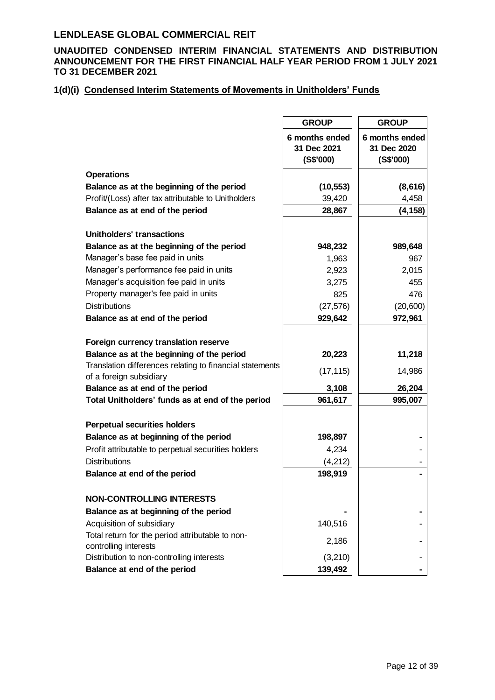### **UNAUDITED CONDENSED INTERIM FINANCIAL STATEMENTS AND DISTRIBUTION ANNOUNCEMENT FOR THE FIRST FINANCIAL HALF YEAR PERIOD FROM 1 JULY 2021 TO 31 DECEMBER 2021**

# **1(d)(i) Condensed Interim Statements of Movements in Unitholders' Funds**

|                                                                    | <b>GROUP</b>                               | <b>GROUP</b>                               |
|--------------------------------------------------------------------|--------------------------------------------|--------------------------------------------|
|                                                                    | 6 months ended<br>31 Dec 2021<br>(S\$'000) | 6 months ended<br>31 Dec 2020<br>(S\$'000) |
| <b>Operations</b>                                                  |                                            |                                            |
| Balance as at the beginning of the period                          | (10, 553)                                  | (8,616)                                    |
| Profit/(Loss) after tax attributable to Unitholders                | 39,420                                     | 4,458                                      |
| Balance as at end of the period                                    | 28,867                                     | (4, 158)                                   |
|                                                                    |                                            |                                            |
| Unitholders' transactions                                          |                                            |                                            |
| Balance as at the beginning of the period                          | 948,232                                    | 989,648                                    |
| Manager's base fee paid in units                                   | 1,963                                      | 967                                        |
| Manager's performance fee paid in units                            | 2,923                                      | 2,015                                      |
| Manager's acquisition fee paid in units                            | 3,275                                      | 455                                        |
| Property manager's fee paid in units                               | 825                                        | 476                                        |
| <b>Distributions</b>                                               | (27, 576)                                  | (20, 600)                                  |
| Balance as at end of the period                                    | 929,642                                    | 972,961                                    |
| Foreign currency translation reserve                               |                                            |                                            |
| Balance as at the beginning of the period                          | 20,223                                     | 11,218                                     |
| Translation differences relating to financial statements           |                                            |                                            |
| of a foreign subsidiary                                            | (17, 115)                                  | 14,986                                     |
| Balance as at end of the period                                    | 3,108                                      | 26,204                                     |
| Total Unitholders' funds as at end of the period                   | 961,617                                    | 995,007                                    |
|                                                                    |                                            |                                            |
| <b>Perpetual securities holders</b>                                |                                            |                                            |
| Balance as at beginning of the period                              | 198,897                                    |                                            |
| Profit attributable to perpetual securities holders                | 4,234                                      |                                            |
| <b>Distributions</b>                                               | (4,212)                                    |                                            |
| Balance at end of the period                                       | 198,919                                    |                                            |
|                                                                    |                                            |                                            |
| <b>NON-CONTROLLING INTERESTS</b>                                   |                                            |                                            |
| Balance as at beginning of the period                              |                                            |                                            |
| Acquisition of subsidiary                                          | 140,516                                    |                                            |
| Total return for the period attributable to non-                   | 2,186                                      |                                            |
| controlling interests<br>Distribution to non-controlling interests | (3, 210)                                   |                                            |
| Balance at end of the period                                       | 139,492                                    |                                            |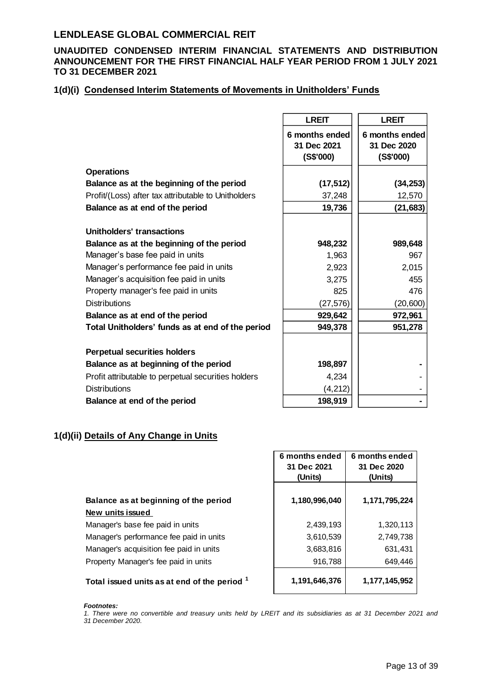### **UNAUDITED CONDENSED INTERIM FINANCIAL STATEMENTS AND DISTRIBUTION ANNOUNCEMENT FOR THE FIRST FINANCIAL HALF YEAR PERIOD FROM 1 JULY 2021 TO 31 DECEMBER 2021**

### **1(d)(i) Condensed Interim Statements of Movements in Unitholders' Funds**

|                                                     | <b>LREIT</b>                               | <b>LREIT</b>                               |
|-----------------------------------------------------|--------------------------------------------|--------------------------------------------|
|                                                     | 6 months ended<br>31 Dec 2021<br>(S\$'000) | 6 months ended<br>31 Dec 2020<br>(S\$'000) |
| <b>Operations</b>                                   |                                            |                                            |
| Balance as at the beginning of the period           | (17, 512)                                  | (34, 253)                                  |
| Profit/(Loss) after tax attributable to Unitholders | 37,248                                     | 12,570                                     |
| Balance as at end of the period                     | 19,736                                     | (21, 683)                                  |
| <b>Unitholders' transactions</b>                    |                                            |                                            |
| Balance as at the beginning of the period           | 948,232                                    | 989,648                                    |
| Manager's base fee paid in units                    | 1,963                                      | 967                                        |
| Manager's performance fee paid in units             | 2,923                                      | 2,015                                      |
| Manager's acquisition fee paid in units             | 3,275                                      | 455                                        |
| Property manager's fee paid in units                | 825                                        | 476                                        |
| <b>Distributions</b>                                | (27, 576)                                  | (20, 600)                                  |
| Balance as at end of the period                     | 929,642                                    | 972,961                                    |
| Total Unitholders' funds as at end of the period    | 949,378                                    | 951,278                                    |
| <b>Perpetual securities holders</b>                 |                                            |                                            |
| Balance as at beginning of the period               | 198,897                                    |                                            |
| Profit attributable to perpetual securities holders | 4,234                                      |                                            |
| <b>Distributions</b>                                | (4, 212)                                   |                                            |
| Balance at end of the period                        | 198,919                                    |                                            |

## **1(d)(ii) Details of Any Change in Units**

|                                              | 6 months ended<br>31 Dec 2021<br>(Units) | 6 months ended<br>31 Dec 2020<br>(Units) |
|----------------------------------------------|------------------------------------------|------------------------------------------|
| Balance as at beginning of the period        | 1,180,996,040                            | 1,171,795,224                            |
| New units issued                             |                                          |                                          |
| Manager's base fee paid in units             | 2,439,193                                | 1,320,113                                |
| Manager's performance fee paid in units      | 3,610,539                                | 2,749,738                                |
| Manager's acquisition fee paid in units      | 3,683,816                                | 631,431                                  |
| Property Manager's fee paid in units         | 916,788                                  | 649,446                                  |
| Total issued units as at end of the period 1 | 1,191,646,376                            | 1,177,145,952                            |

*Footnotes:*

*1. There were no convertible and treasury units held by LREIT and its subsidiaries as at 31 December 2021 and 31 December 2020.*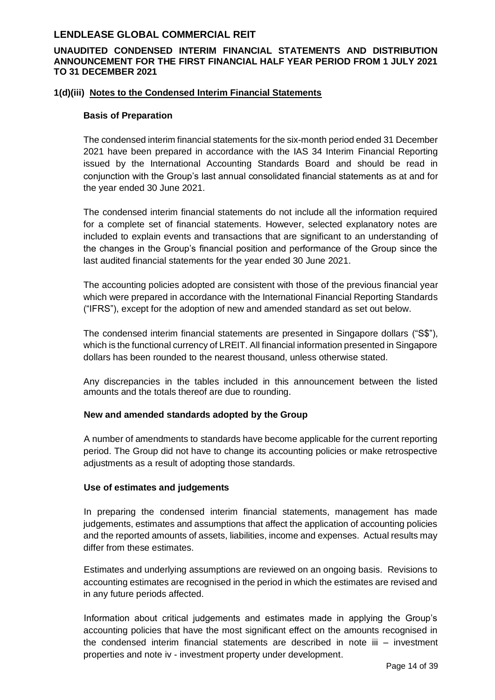### **UNAUDITED CONDENSED INTERIM FINANCIAL STATEMENTS AND DISTRIBUTION ANNOUNCEMENT FOR THE FIRST FINANCIAL HALF YEAR PERIOD FROM 1 JULY 2021 TO 31 DECEMBER 2021**

### **1(d)(iii) Notes to the Condensed Interim Financial Statements**

#### **Basis of Preparation**

The condensed interim financial statements for the six-month period ended 31 December 2021 have been prepared in accordance with the IAS 34 Interim Financial Reporting issued by the International Accounting Standards Board and should be read in conjunction with the Group's last annual consolidated financial statements as at and for the year ended 30 June 2021.

The condensed interim financial statements do not include all the information required for a complete set of financial statements. However, selected explanatory notes are included to explain events and transactions that are significant to an understanding of the changes in the Group's financial position and performance of the Group since the last audited financial statements for the year ended 30 June 2021.

The accounting policies adopted are consistent with those of the previous financial year which were prepared in accordance with the International Financial Reporting Standards ("IFRS"), except for the adoption of new and amended standard as set out below.

The condensed interim financial statements are presented in Singapore dollars ("S\$"), which is the functional currency of LREIT. All financial information presented in Singapore dollars has been rounded to the nearest thousand, unless otherwise stated.

Any discrepancies in the tables included in this announcement between the listed amounts and the totals thereof are due to rounding.

#### **New and amended standards adopted by the Group**

A number of amendments to standards have become applicable for the current reporting period. The Group did not have to change its accounting policies or make retrospective adjustments as a result of adopting those standards.

#### **Use of estimates and judgements**

In preparing the condensed interim financial statements, management has made judgements, estimates and assumptions that affect the application of accounting policies and the reported amounts of assets, liabilities, income and expenses. Actual results may differ from these estimates.

Estimates and underlying assumptions are reviewed on an ongoing basis. Revisions to accounting estimates are recognised in the period in which the estimates are revised and in any future periods affected.

Information about critical judgements and estimates made in applying the Group's accounting policies that have the most significant effect on the amounts recognised in the condensed interim financial statements are described in note iii – investment properties and note iv - investment property under development.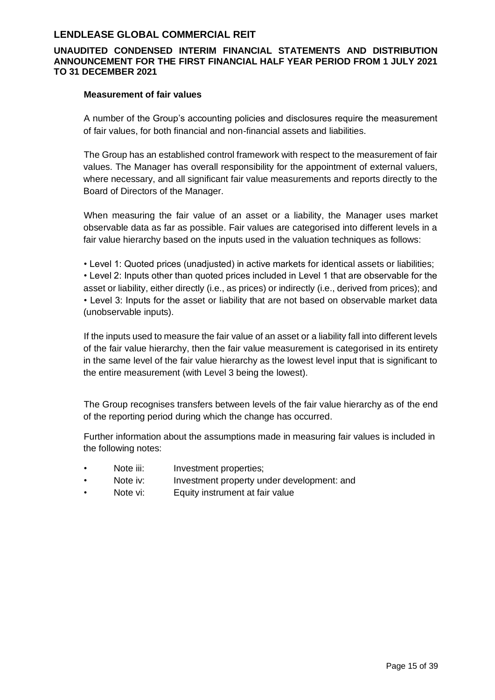### **UNAUDITED CONDENSED INTERIM FINANCIAL STATEMENTS AND DISTRIBUTION ANNOUNCEMENT FOR THE FIRST FINANCIAL HALF YEAR PERIOD FROM 1 JULY 2021 TO 31 DECEMBER 2021**

#### **Measurement of fair values**

A number of the Group's accounting policies and disclosures require the measurement of fair values, for both financial and non-financial assets and liabilities.

The Group has an established control framework with respect to the measurement of fair values. The Manager has overall responsibility for the appointment of external valuers, where necessary, and all significant fair value measurements and reports directly to the Board of Directors of the Manager.

When measuring the fair value of an asset or a liability, the Manager uses market observable data as far as possible. Fair values are categorised into different levels in a fair value hierarchy based on the inputs used in the valuation techniques as follows:

• Level 1: Quoted prices (unadjusted) in active markets for identical assets or liabilities; • Level 2: Inputs other than quoted prices included in Level 1 that are observable for the asset or liability, either directly (i.e., as prices) or indirectly (i.e., derived from prices); and • Level 3: Inputs for the asset or liability that are not based on observable market data (unobservable inputs).

If the inputs used to measure the fair value of an asset or a liability fall into different levels of the fair value hierarchy, then the fair value measurement is categorised in its entirety in the same level of the fair value hierarchy as the lowest level input that is significant to the entire measurement (with Level 3 being the lowest).

The Group recognises transfers between levels of the fair value hierarchy as of the end of the reporting period during which the change has occurred.

Further information about the assumptions made in measuring fair values is included in the following notes:

- Note iii: Investment properties;
- Note iv: Investment property under development: and
- Note vi: Equity instrument at fair value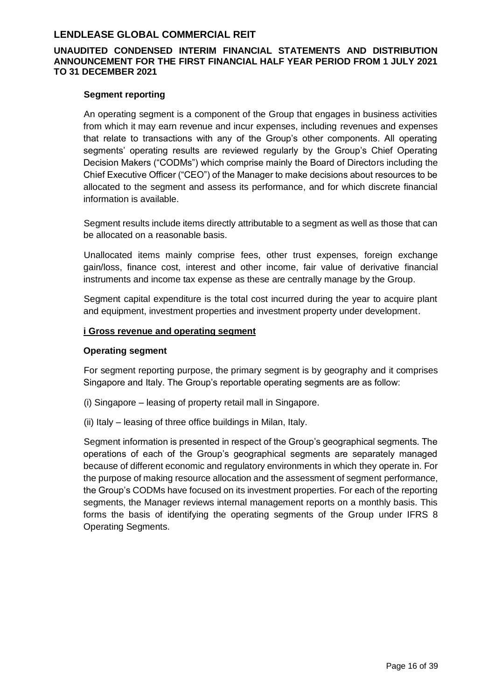### **UNAUDITED CONDENSED INTERIM FINANCIAL STATEMENTS AND DISTRIBUTION ANNOUNCEMENT FOR THE FIRST FINANCIAL HALF YEAR PERIOD FROM 1 JULY 2021 TO 31 DECEMBER 2021**

#### **Segment reporting**

An operating segment is a component of the Group that engages in business activities from which it may earn revenue and incur expenses, including revenues and expenses that relate to transactions with any of the Group's other components. All operating segments' operating results are reviewed regularly by the Group's Chief Operating Decision Makers ("CODMs") which comprise mainly the Board of Directors including the Chief Executive Officer ("CEO") of the Manager to make decisions about resources to be allocated to the segment and assess its performance, and for which discrete financial information is available.

Segment results include items directly attributable to a segment as well as those that can be allocated on a reasonable basis.

Unallocated items mainly comprise fees, other trust expenses, foreign exchange gain/loss, finance cost, interest and other income, fair value of derivative financial instruments and income tax expense as these are centrally manage by the Group.

Segment capital expenditure is the total cost incurred during the year to acquire plant and equipment, investment properties and investment property under development.

#### **i Gross revenue and operating segment**

#### **Operating segment**

For segment reporting purpose, the primary segment is by geography and it comprises Singapore and Italy. The Group's reportable operating segments are as follow:

- (i) Singapore leasing of property retail mall in Singapore.
- (ii) Italy leasing of three office buildings in Milan, Italy.

Segment information is presented in respect of the Group's geographical segments. The operations of each of the Group's geographical segments are separately managed because of different economic and regulatory environments in which they operate in. For the purpose of making resource allocation and the assessment of segment performance, the Group's CODMs have focused on its investment properties. For each of the reporting segments, the Manager reviews internal management reports on a monthly basis. This forms the basis of identifying the operating segments of the Group under IFRS 8 Operating Segments.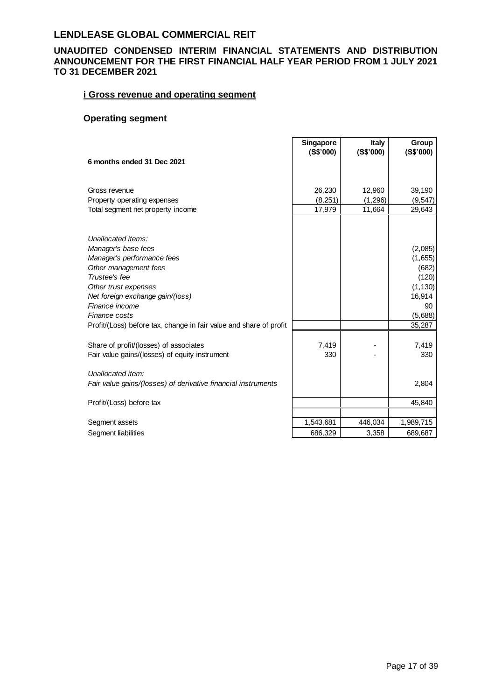### **UNAUDITED CONDENSED INTERIM FINANCIAL STATEMENTS AND DISTRIBUTION ANNOUNCEMENT FOR THE FIRST FINANCIAL HALF YEAR PERIOD FROM 1 JULY 2021 TO 31 DECEMBER 2021**

### **i Gross revenue and operating segment**

## **Operating segment**

|                                                                    | <b>Singapore</b> | <b>Italy</b> | Group     |
|--------------------------------------------------------------------|------------------|--------------|-----------|
|                                                                    | (S\$'000)        | (S\$'000)    | (S\$'000) |
| 6 months ended 31 Dec 2021                                         |                  |              |           |
|                                                                    |                  |              |           |
| Gross revenue                                                      | 26,230           | 12,960       | 39,190    |
| Property operating expenses                                        | (8, 251)         | (1,296)      | (9, 547)  |
| Total segment net property income                                  | 17,979           | 11,664       | 29,643    |
|                                                                    |                  |              |           |
|                                                                    |                  |              |           |
| Unallocated items:                                                 |                  |              |           |
| Manager's base fees                                                |                  |              | (2,085)   |
| Manager's performance fees                                         |                  |              | (1,655)   |
| Other management fees                                              |                  |              | (682)     |
| Trustee's fee                                                      |                  |              | (120)     |
| Other trust expenses                                               |                  |              | (1, 130)  |
| Net foreign exchange gain/(loss)                                   |                  |              | 16,914    |
| Finance income                                                     |                  |              | 90        |
| Finance costs                                                      |                  |              | (5,688)   |
| Profit/(Loss) before tax, change in fair value and share of profit |                  |              | 35,287    |
|                                                                    |                  |              |           |
| Share of profit/(losses) of associates                             | 7,419            |              | 7,419     |
| Fair value gains/(losses) of equity instrument                     | 330              |              | 330       |
|                                                                    |                  |              |           |
| Unallocated item:                                                  |                  |              |           |
| Fair value gains/(losses) of derivative financial instruments      |                  |              | 2,804     |
|                                                                    |                  |              |           |
| Profit/(Loss) before tax                                           |                  |              | 45,840    |
|                                                                    |                  |              |           |
| Segment assets                                                     | 1,543,681        | 446,034      | 1,989,715 |
| Segment liabilities                                                | 686,329          | 3,358        | 689,687   |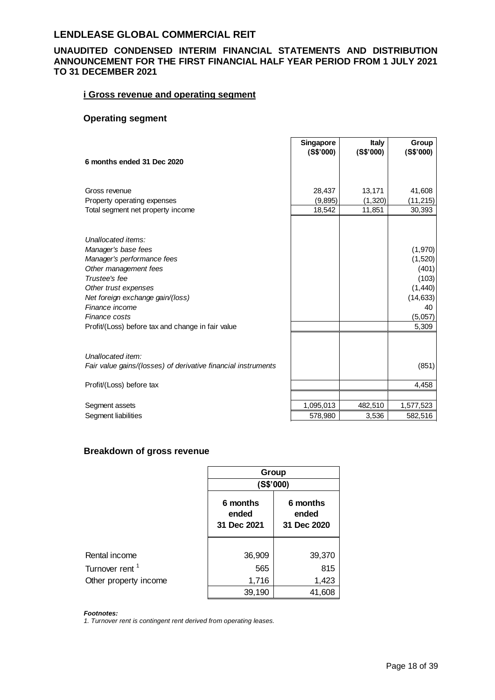### **UNAUDITED CONDENSED INTERIM FINANCIAL STATEMENTS AND DISTRIBUTION ANNOUNCEMENT FOR THE FIRST FINANCIAL HALF YEAR PERIOD FROM 1 JULY 2021 TO 31 DECEMBER 2021**

### **i Gross revenue and operating segment**

# **Operating segment**

|                                                               | <b>Singapore</b> | <b>Italy</b> | Group     |
|---------------------------------------------------------------|------------------|--------------|-----------|
|                                                               | (S\$'000)        | (S\$'000)    | (S\$'000) |
| 6 months ended 31 Dec 2020                                    |                  |              |           |
|                                                               |                  |              |           |
| Gross revenue                                                 | 28,437           | 13,171       | 41,608    |
| Property operating expenses                                   | (9,895)          | (1,320)      | (11,215)  |
| Total segment net property income                             | 18,542           | 11,851       | 30,393    |
|                                                               |                  |              |           |
|                                                               |                  |              |           |
| Unallocated items:                                            |                  |              |           |
| Manager's base fees                                           |                  |              | (1,970)   |
| Manager's performance fees                                    |                  |              | (1,520)   |
| Other management fees                                         |                  |              | (401)     |
| Trustee's fee                                                 |                  |              | (103)     |
| Other trust expenses                                          |                  |              | (1,440)   |
| Net foreign exchange gain/(loss)                              |                  |              | (14, 633) |
| Finance income                                                |                  |              | 40        |
| Finance costs                                                 |                  |              | (5,057)   |
| Profit/(Loss) before tax and change in fair value             |                  |              | 5,309     |
|                                                               |                  |              |           |
| Unallocated item:                                             |                  |              |           |
|                                                               |                  |              |           |
| Fair value gains/(losses) of derivative financial instruments |                  |              | (851)     |
| Profit/(Loss) before tax                                      |                  |              | 4,458     |
|                                                               |                  |              |           |
| Segment assets                                                | 1,095,013        | 482,510      | 1,577,523 |
| Segment liabilities                                           | 578,980          | 3,536        | 582,516   |
|                                                               |                  |              |           |

### **Breakdown of gross revenue**

|                            | Group                            |                                  |
|----------------------------|----------------------------------|----------------------------------|
|                            | (S\$'000)                        |                                  |
|                            | 6 months<br>ended<br>31 Dec 2021 | 6 months<br>ended<br>31 Dec 2020 |
| Rental income              | 36,909                           | 39,370                           |
| Turnover rent <sup>1</sup> | 565                              | 815                              |
| Other property income      | 1,716                            | 1,423                            |
|                            | 39,190                           | 41,608                           |

*Footnotes:*

*1. Turnover rent is contingent rent derived from operating leases.*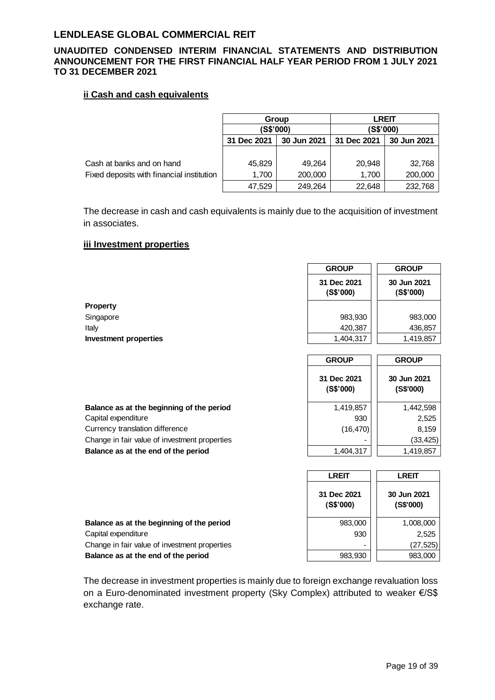### **UNAUDITED CONDENSED INTERIM FINANCIAL STATEMENTS AND DISTRIBUTION ANNOUNCEMENT FOR THE FIRST FINANCIAL HALF YEAR PERIOD FROM 1 JULY 2021 TO 31 DECEMBER 2021**

### **ii Cash and cash equivalents**

|                                           | Group       |                            | <b>LREIT</b> |             |
|-------------------------------------------|-------------|----------------------------|--------------|-------------|
|                                           | (S\$'000)   |                            | (S\$'000)    |             |
|                                           | 31 Dec 2021 | 30 Jun 2021<br>31 Dec 2021 |              | 30 Jun 2021 |
|                                           |             |                            |              |             |
| Cash at banks and on hand                 | 45,829      | 49.264                     | 20,948       | 32,768      |
| Fixed deposits with financial institution | 1,700       | 200,000                    | 1.700        | 200,000     |
|                                           | 47,529      | 249,264                    | 22,648       | 232,768     |

The decrease in cash and cash equivalents is mainly due to the acquisition of investment in associates.

#### **iii Investment properties**

|                              | <b>GROUP</b>             | <b>GROUP</b>             |
|------------------------------|--------------------------|--------------------------|
|                              | 31 Dec 2021<br>(S\$'000) | 30 Jun 2021<br>(S\$'000) |
| Property                     |                          |                          |
| Singapore                    | 983,930                  | 983,000                  |
| Italy                        | 420,387                  | 436,857                  |
| <b>Investment properties</b> | 1,404,317                | 1,419,857                |
|                              | <b>GROUP</b>             | <b>GROUP</b>             |

 **31 Dec 2021 (S\$'000)** 

| Balance as at the beginning of the period     | 1,419,857 | 1,442,598 |
|-----------------------------------------------|-----------|-----------|
| Capital expenditure                           | 930       | 2,525     |
| Currency translation difference               | (16, 470) | 8,159     |
| Change in fair value of investment properties |           | (33, 425) |
| Balance as at the end of the period           | 1,404,317 | 1,419,857 |
|                                               |           |           |

|                                               | <b>LREIT</b>             | <b>LREIT</b>             |
|-----------------------------------------------|--------------------------|--------------------------|
|                                               | 31 Dec 2021<br>(S\$'000) | 30 Jun 2021<br>(S\$'000) |
| Balance as at the beginning of the period     | 983,000                  | 1,008,000                |
| Capital expenditure                           | 930                      | 2,525                    |
| Change in fair value of investment properties |                          | (27, 525)                |
| Balance as at the end of the period           | 983,930                  | 983,000                  |

The decrease in investment properties is mainly due to foreign exchange revaluation loss on a Euro-denominated investment property (Sky Complex) attributed to weaker €/S\$ exchange rate.

 **30 Jun 2021 (S\$'000)** 

 $\overline{\phantom{0}}$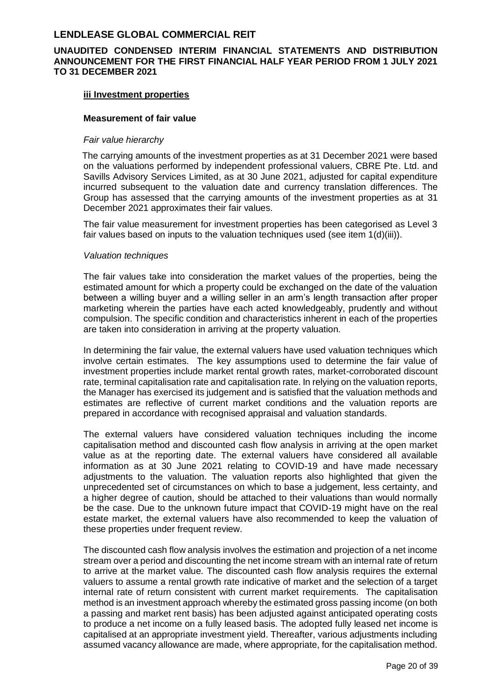### **UNAUDITED CONDENSED INTERIM FINANCIAL STATEMENTS AND DISTRIBUTION ANNOUNCEMENT FOR THE FIRST FINANCIAL HALF YEAR PERIOD FROM 1 JULY 2021 TO 31 DECEMBER 2021**

#### **iii Investment properties**

#### **Measurement of fair value**

#### *Fair value hierarchy*

The carrying amounts of the investment properties as at 31 December 2021 were based on the valuations performed by independent professional valuers, CBRE Pte. Ltd. and Savills Advisory Services Limited, as at 30 June 2021, adjusted for capital expenditure incurred subsequent to the valuation date and currency translation differences. The Group has assessed that the carrying amounts of the investment properties as at 31 December 2021 approximates their fair values.

The fair value measurement for investment properties has been categorised as Level 3 fair values based on inputs to the valuation techniques used (see item 1(d)(iii)).

#### *Valuation techniques*

The fair values take into consideration the market values of the properties, being the estimated amount for which a property could be exchanged on the date of the valuation between a willing buyer and a willing seller in an arm's length transaction after proper marketing wherein the parties have each acted knowledgeably, prudently and without compulsion. The specific condition and characteristics inherent in each of the properties are taken into consideration in arriving at the property valuation.

In determining the fair value, the external valuers have used valuation techniques which involve certain estimates. The key assumptions used to determine the fair value of investment properties include market rental growth rates, market-corroborated discount rate, terminal capitalisation rate and capitalisation rate. In relying on the valuation reports, the Manager has exercised its judgement and is satisfied that the valuation methods and estimates are reflective of current market conditions and the valuation reports are prepared in accordance with recognised appraisal and valuation standards.

The external valuers have considered valuation techniques including the income capitalisation method and discounted cash flow analysis in arriving at the open market value as at the reporting date. The external valuers have considered all available information as at 30 June 2021 relating to COVID-19 and have made necessary adjustments to the valuation. The valuation reports also highlighted that given the unprecedented set of circumstances on which to base a judgement, less certainty, and a higher degree of caution, should be attached to their valuations than would normally be the case. Due to the unknown future impact that COVID-19 might have on the real estate market, the external valuers have also recommended to keep the valuation of these properties under frequent review.

The discounted cash flow analysis involves the estimation and projection of a net income stream over a period and discounting the net income stream with an internal rate of return to arrive at the market value. The discounted cash flow analysis requires the external valuers to assume a rental growth rate indicative of market and the selection of a target internal rate of return consistent with current market requirements. The capitalisation method is an investment approach whereby the estimated gross passing income (on both a passing and market rent basis) has been adjusted against anticipated operating costs to produce a net income on a fully leased basis. The adopted fully leased net income is capitalised at an appropriate investment yield. Thereafter, various adjustments including assumed vacancy allowance are made, where appropriate, for the capitalisation method.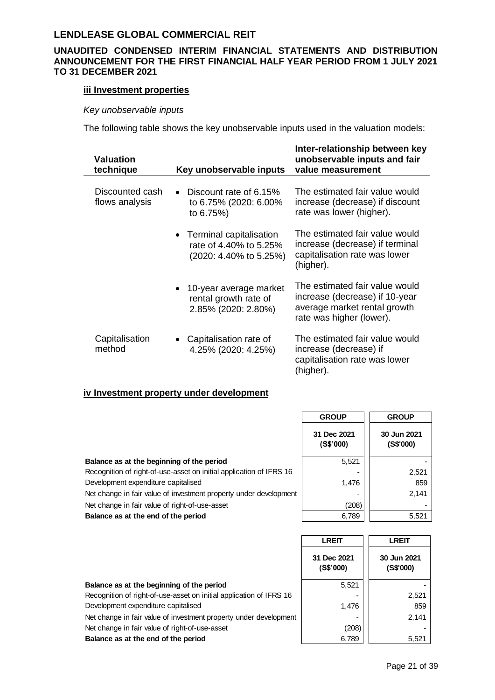### **UNAUDITED CONDENSED INTERIM FINANCIAL STATEMENTS AND DISTRIBUTION ANNOUNCEMENT FOR THE FIRST FINANCIAL HALF YEAR PERIOD FROM 1 JULY 2021 TO 31 DECEMBER 2021**

### **iii Investment properties**

### *Key unobservable inputs*

The following table shows the key unobservable inputs used in the valuation models:

| <b>Valuation</b><br>technique     | Key unobservable inputs                                                                    | Inter-relationship between key<br>unobservable inputs and fair<br>value measurement                                          |
|-----------------------------------|--------------------------------------------------------------------------------------------|------------------------------------------------------------------------------------------------------------------------------|
| Discounted cash<br>flows analysis | Discount rate of 6.15%<br>to 6.75% (2020: 6.00%<br>to 6.75%)                               | The estimated fair value would<br>increase (decrease) if discount<br>rate was lower (higher).                                |
|                                   | • Terminal capitalisation<br>rate of 4.40% to 5.25%<br>$(2020: 4.40\% \text{ to } 5.25\%)$ | The estimated fair value would<br>increase (decrease) if terminal<br>capitalisation rate was lower<br>(higher).              |
|                                   | 10-year average market<br>$\bullet$<br>rental growth rate of<br>2.85% (2020: 2.80%)        | The estimated fair value would<br>increase (decrease) if 10-year<br>average market rental growth<br>rate was higher (lower). |
| Capitalisation<br>method          | • Capitalisation rate of<br>4.25% (2020: 4.25%)                                            | The estimated fair value would<br>increase (decrease) if<br>capitalisation rate was lower<br>(higher).                       |

### **iv Investment property under development**

|                                                                     | <b>GROUP</b>             | <b>GROUP</b>             |
|---------------------------------------------------------------------|--------------------------|--------------------------|
|                                                                     | 31 Dec 2021<br>(S\$'000) | 30 Jun 2021<br>(S\$'000) |
| Balance as at the beginning of the period                           | 5.521                    |                          |
| Recognition of right-of-use-asset on initial application of IFRS 16 |                          | 2,521                    |
| Development expenditure capitalised                                 | 1,476                    | 859                      |
| Net change in fair value of investment property under development   |                          | 2,141                    |
| Net change in fair value of right-of-use-asset                      | (208)                    |                          |
| Balance as at the end of the period                                 | 6,789                    | 5,521                    |
|                                                                     |                          |                          |

|                                                                     | <b>LREIT</b>             | <b>LREIT</b>             |
|---------------------------------------------------------------------|--------------------------|--------------------------|
|                                                                     | 31 Dec 2021<br>(S\$'000) | 30 Jun 2021<br>(S\$'000) |
| Balance as at the beginning of the period                           | 5.521                    |                          |
| Recognition of right-of-use-asset on initial application of IFRS 16 |                          | 2,521                    |
| Development expenditure capitalised                                 | 1,476                    | 859                      |
| Net change in fair value of investment property under development   |                          | 2,141                    |
| Net change in fair value of right-of-use-asset                      | (208)                    |                          |
| Balance as at the end of the period                                 | 6,789                    | 5,521                    |
|                                                                     |                          |                          |

. .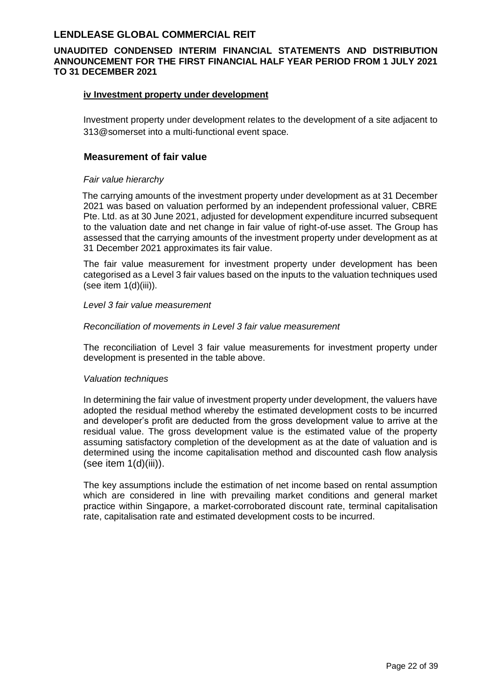### **UNAUDITED CONDENSED INTERIM FINANCIAL STATEMENTS AND DISTRIBUTION ANNOUNCEMENT FOR THE FIRST FINANCIAL HALF YEAR PERIOD FROM 1 JULY 2021 TO 31 DECEMBER 2021**

#### **iv Investment property under development**

Investment property under development relates to the development of a site adjacent to 313@somerset into a multi-functional event space.

### **Measurement of fair value**

#### *Fair value hierarchy*

The carrying amounts of the investment property under development as at 31 December 2021 was based on valuation performed by an independent professional valuer, CBRE Pte. Ltd. as at 30 June 2021, adjusted for development expenditure incurred subsequent to the valuation date and net change in fair value of right-of-use asset. The Group has assessed that the carrying amounts of the investment property under development as at 31 December 2021 approximates its fair value.

The fair value measurement for investment property under development has been categorised as a Level 3 fair values based on the inputs to the valuation techniques used (see item 1(d)(iii)).

#### *Level 3 fair value measurement*

#### *Reconciliation of movements in Level 3 fair value measurement*

The reconciliation of Level 3 fair value measurements for investment property under development is presented in the table above.

#### *Valuation techniques*

In determining the fair value of investment property under development, the valuers have adopted the residual method whereby the estimated development costs to be incurred and developer's profit are deducted from the gross development value to arrive at the residual value. The gross development value is the estimated value of the property assuming satisfactory completion of the development as at the date of valuation and is determined using the income capitalisation method and discounted cash flow analysis (see item 1(d)(iii)).

The key assumptions include the estimation of net income based on rental assumption which are considered in line with prevailing market conditions and general market practice within Singapore, a market-corroborated discount rate, terminal capitalisation rate, capitalisation rate and estimated development costs to be incurred.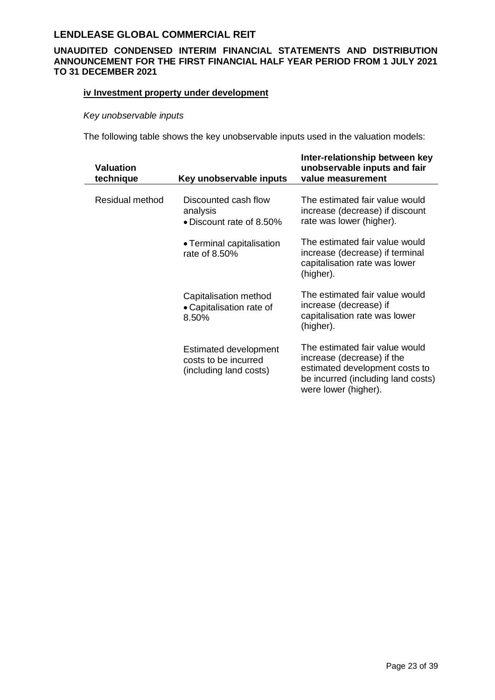### **UNAUDITED CONDENSED INTERIM FINANCIAL STATEMENTS AND DISTRIBUTION ANNOUNCEMENT FOR THE FIRST FINANCIAL HALF YEAR PERIOD FROM 1 JULY 2021 TO 31 DECEMBER 2021**

### **iv Investment property under development**

### *Key unobservable inputs*

The following table shows the key unobservable inputs used in the valuation models:

| <b>Valuation</b><br>technique | Key unobservable inputs                                                        | Inter-relationship between key<br>unobservable inputs and fair<br>value measurement                                                                          |
|-------------------------------|--------------------------------------------------------------------------------|--------------------------------------------------------------------------------------------------------------------------------------------------------------|
| Residual method               | Discounted cash flow<br>analysis<br>• Discount rate of 8.50%                   | The estimated fair value would<br>increase (decrease) if discount<br>rate was lower (higher).                                                                |
|                               | • Terminal capitalisation<br>rate of 8.50%                                     | The estimated fair value would<br>increase (decrease) if terminal<br>capitalisation rate was lower<br>(higher).                                              |
|                               | Capitalisation method<br>• Capitalisation rate of<br>8.50%                     | The estimated fair value would<br>increase (decrease) if<br>capitalisation rate was lower<br>(higher).                                                       |
|                               | <b>Estimated development</b><br>costs to be incurred<br>(including land costs) | The estimated fair value would<br>increase (decrease) if the<br>estimated development costs to<br>be incurred (including land costs)<br>were lower (higher). |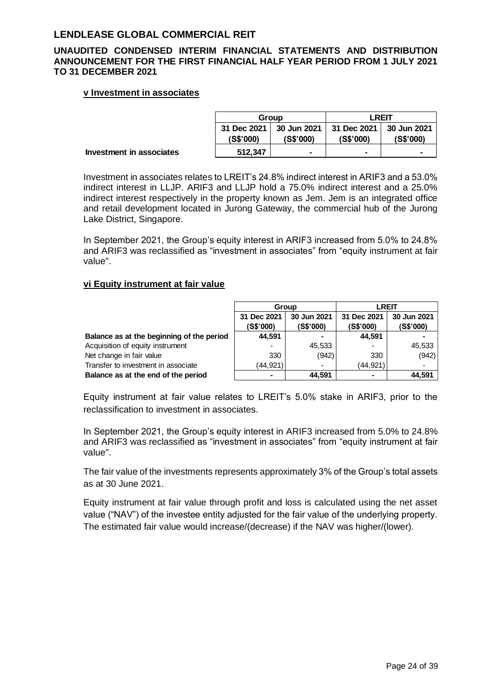### **UNAUDITED CONDENSED INTERIM FINANCIAL STATEMENTS AND DISTRIBUTION ANNOUNCEMENT FOR THE FIRST FINANCIAL HALF YEAR PERIOD FROM 1 JULY 2021 TO 31 DECEMBER 2021**

#### **v Investment in associates**

|                                 |                            | Group     |                                                      | <b>LREIT</b> |  |
|---------------------------------|----------------------------|-----------|------------------------------------------------------|--------------|--|
|                                 | 31 Dec 2021 L<br>(S\$'000) | (S\$'000) | 30 Jun 2021   31 Dec 2021   30 Jun 2021<br>(S\$'000) | (S\$'000)    |  |
| <b>Investment in associates</b> | 512.347                    | -         | $\blacksquare$                                       | -            |  |

Investment in associates relates to LREIT's 24.8% indirect interest in ARIF3 and a 53.0% indirect interest in LLJP. ARIF3 and LLJP hold a 75.0% indirect interest and a 25.0% indirect interest respectively in the property known as Jem. Jem is an integrated office and retail development located in Jurong Gateway, the commercial hub of the Jurong Lake District, Singapore.

In September 2021, the Group's equity interest in ARIF3 increased from 5.0% to 24.8% and ARIF3 was reclassified as "investment in associates" from "equity instrument at fair value".

### **vi Equity instrument at fair value**

|                                           | Group                    |                          | <b>LREIT</b>             |                          |  |
|-------------------------------------------|--------------------------|--------------------------|--------------------------|--------------------------|--|
|                                           | 31 Dec 2021<br>(S\$'000) | 30 Jun 2021<br>(S\$'000) | 31 Dec 2021<br>(S\$'000) | 30 Jun 2021<br>(S\$'000) |  |
| Balance as at the beginning of the period | 44,591                   | $\blacksquare$           | 44.591                   |                          |  |
| Acquisition of equity instrument          |                          | 45,533                   |                          | 45,533                   |  |
| Net change in fair value                  | 330                      | (942)                    | 330                      | (942)                    |  |
| Transfer to investment in associate       | (44,921)                 | $\overline{\phantom{0}}$ | (44, 921)                | $\overline{\phantom{0}}$ |  |
| Balance as at the end of the period       | -                        | 44.591                   |                          | 44.591                   |  |

Equity instrument at fair value relates to LREIT's 5.0% stake in ARIF3, prior to the reclassification to investment in associates.

In September 2021, the Group's equity interest in ARIF3 increased from 5.0% to 24.8% and ARIF3 was reclassified as "investment in associates" from "equity instrument at fair value".

The fair value of the investments represents approximately 3% of the Group's total assets as at 30 June 2021.

Equity instrument at fair value through profit and loss is calculated using the net asset value ("NAV") of the investee entity adjusted for the fair value of the underlying property. The estimated fair value would increase/(decrease) if the NAV was higher/(lower).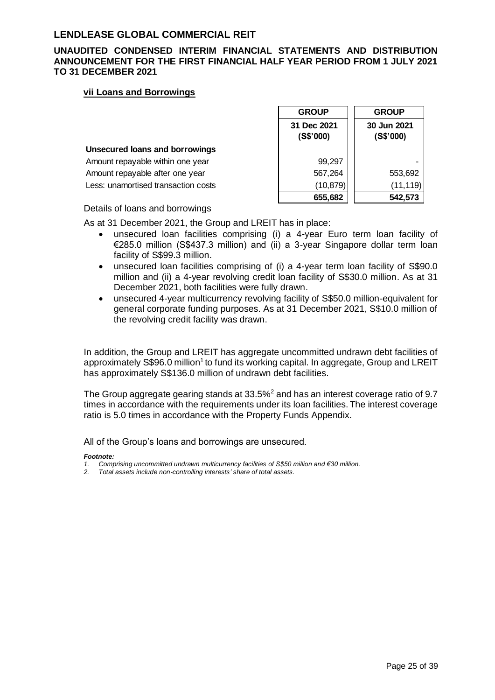### **UNAUDITED CONDENSED INTERIM FINANCIAL STATEMENTS AND DISTRIBUTION ANNOUNCEMENT FOR THE FIRST FINANCIAL HALF YEAR PERIOD FROM 1 JULY 2021 TO 31 DECEMBER 2021**

#### **vii Loans and Borrowings**

|                                       | <b>GROUP</b>             | <b>GROUP</b>             |
|---------------------------------------|--------------------------|--------------------------|
|                                       | 31 Dec 2021<br>(S\$'000) | 30 Jun 2021<br>(S\$'000) |
| <b>Unsecured loans and borrowings</b> |                          |                          |
| Amount repayable within one year      | 99,297                   |                          |
| Amount repayable after one year       | 567,264                  | 553,692                  |
| Less: unamortised transaction costs   | (10, 879)                | (11, 119)                |
|                                       | 655,682                  | 542,573                  |

#### Details of loans and borrowings

As at 31 December 2021, the Group and LREIT has in place:

- unsecured loan facilities comprising (i) a 4-year Euro term loan facility of €285.0 million (S\$437.3 million) and (ii) a 3-year Singapore dollar term loan facility of S\$99.3 million.
- unsecured loan facilities comprising of (i) a 4-year term loan facility of S\$90.0 million and (ii) a 4-year revolving credit loan facility of S\$30.0 million. As at 31 December 2021, both facilities were fully drawn.
- unsecured 4-year multicurrency revolving facility of S\$50.0 million-equivalent for general corporate funding purposes. As at 31 December 2021, S\$10.0 million of the revolving credit facility was drawn.

In addition, the Group and LREIT has aggregate uncommitted undrawn debt facilities of approximately S\$96.0 million<sup>1</sup> to fund its working capital. In aggregate, Group and LREIT has approximately S\$136.0 million of undrawn debt facilities.

The Group aggregate gearing stands at 33.5%<sup>2</sup> and has an interest coverage ratio of 9.7 times in accordance with the requirements under its loan facilities. The interest coverage ratio is 5.0 times in accordance with the Property Funds Appendix.

All of the Group's loans and borrowings are unsecured.

#### *Footnote:*

- *1. Comprising uncommitted undrawn multicurrency facilities of S\$50 million and €30 million.*
- *2. Total assets include non-controlling interests' share of total assets.*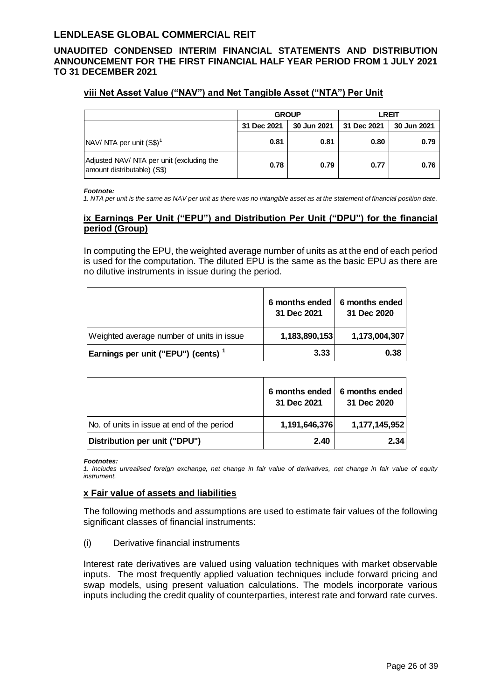### **UNAUDITED CONDENSED INTERIM FINANCIAL STATEMENTS AND DISTRIBUTION ANNOUNCEMENT FOR THE FIRST FINANCIAL HALF YEAR PERIOD FROM 1 JULY 2021 TO 31 DECEMBER 2021**

### **viii Net Asset Value ("NAV") and Net Tangible Asset ("NTA") Per Unit**

|                                                                          |             | <b>GROUP</b> | <b>LREIT</b> |             |  |
|--------------------------------------------------------------------------|-------------|--------------|--------------|-------------|--|
|                                                                          | 31 Dec 2021 | 30 Jun 2021  | 31 Dec 2021  | 30 Jun 2021 |  |
| $\sqrt{\text{NAV}}$ NTA per unit $\text{(S$)}^1$                         | 0.81        | 0.81         | 0.80         | 0.79        |  |
| Adjusted NAV/ NTA per unit (excluding the<br>amount distributable) (S\$) | 0.78        | 0.79         | 0.77         | 0.76        |  |

#### *Footnote:*

*1. NTA per unit is the same as NAV per unit as there was no intangible asset as at the statement of financial position date.*

### **ix Earnings Per Unit ("EPU") and Distribution Per Unit ("DPU") for the financial period (Group)**

In computing the EPU, the weighted average number of units as at the end of each period is used for the computation. The diluted EPU is the same as the basic EPU as there are no dilutive instruments in issue during the period.

|                                                | 6 months ended<br>31 Dec 2021 | 6 months ended<br>31 Dec 2020 |
|------------------------------------------------|-------------------------------|-------------------------------|
| Weighted average number of units in issue      | 1,183,890,153                 | 1,173,004,307                 |
| Earnings per unit ("EPU") (cents) <sup>1</sup> | 3.33                          | 0.38                          |

|                                            | 6 months ended<br>31 Dec 2021 | 6 months ended<br>31 Dec 2020 |
|--------------------------------------------|-------------------------------|-------------------------------|
| No. of units in issue at end of the period | 1,191,646,376                 | 1,177,145,952                 |
| Distribution per unit ("DPU")              | 2.40                          | 2.34                          |

#### *Footnotes:*

*1. Includes unrealised foreign exchange, net change in fair value of derivatives, net change in fair value of equity instrument.*

#### **x Fair value of assets and liabilities**

The following methods and assumptions are used to estimate fair values of the following significant classes of financial instruments:

(i) Derivative financial instruments

Interest rate derivatives are valued using valuation techniques with market observable inputs. The most frequently applied valuation techniques include forward pricing and swap models, using present valuation calculations. The models incorporate various inputs including the credit quality of counterparties, interest rate and forward rate curves.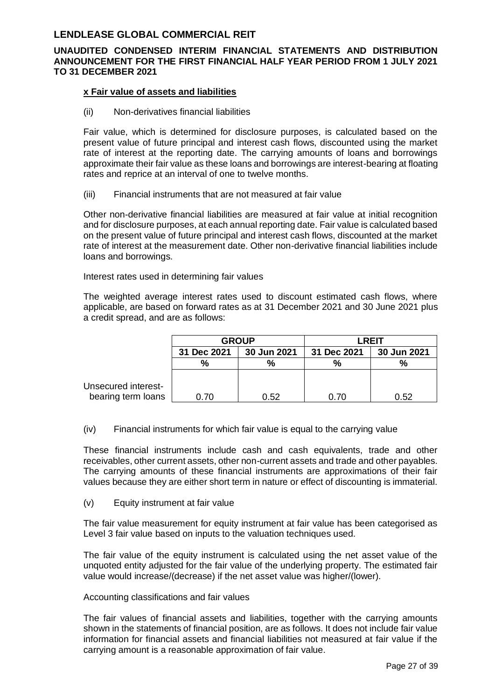### **UNAUDITED CONDENSED INTERIM FINANCIAL STATEMENTS AND DISTRIBUTION ANNOUNCEMENT FOR THE FIRST FINANCIAL HALF YEAR PERIOD FROM 1 JULY 2021 TO 31 DECEMBER 2021**

#### **x Fair value of assets and liabilities**

(ii) Non-derivatives financial liabilities

Fair value, which is determined for disclosure purposes, is calculated based on the present value of future principal and interest cash flows, discounted using the market rate of interest at the reporting date. The carrying amounts of loans and borrowings approximate their fair value as these loans and borrowings are interest-bearing at floating rates and reprice at an interval of one to twelve months.

(iii) Financial instruments that are not measured at fair value

Other non-derivative financial liabilities are measured at fair value at initial recognition and for disclosure purposes, at each annual reporting date. Fair value is calculated based on the present value of future principal and interest cash flows, discounted at the market rate of interest at the measurement date. Other non-derivative financial liabilities include loans and borrowings.

Interest rates used in determining fair values

The weighted average interest rates used to discount estimated cash flows, where applicable, are based on forward rates as at 31 December 2021 and 30 June 2021 plus a credit spread, and are as follows:

|                     | <b>GROUP</b> |             | <b>LREIT</b> |             |  |
|---------------------|--------------|-------------|--------------|-------------|--|
|                     | 31 Dec 2021  | 30 Jun 2021 | 31 Dec 2021  | 30 Jun 2021 |  |
|                     | %            | $\%$        | %            | %           |  |
|                     |              |             |              |             |  |
| Unsecured interest- |              |             |              |             |  |
| bearing term loans  | 0.70         | 0.52        | 0.70         | 0.52        |  |

(iv) Financial instruments for which fair value is equal to the carrying value

These financial instruments include cash and cash equivalents, trade and other receivables, other current assets, other non-current assets and trade and other payables. The carrying amounts of these financial instruments are approximations of their fair values because they are either short term in nature or effect of discounting is immaterial.

(v) Equity instrument at fair value

The fair value measurement for equity instrument at fair value has been categorised as Level 3 fair value based on inputs to the valuation techniques used.

The fair value of the equity instrument is calculated using the net asset value of the unquoted entity adjusted for the fair value of the underlying property. The estimated fair value would increase/(decrease) if the net asset value was higher/(lower).

#### Accounting classifications and fair values

The fair values of financial assets and liabilities, together with the carrying amounts shown in the statements of financial position, are as follows. It does not include fair value information for financial assets and financial liabilities not measured at fair value if the carrying amount is a reasonable approximation of fair value.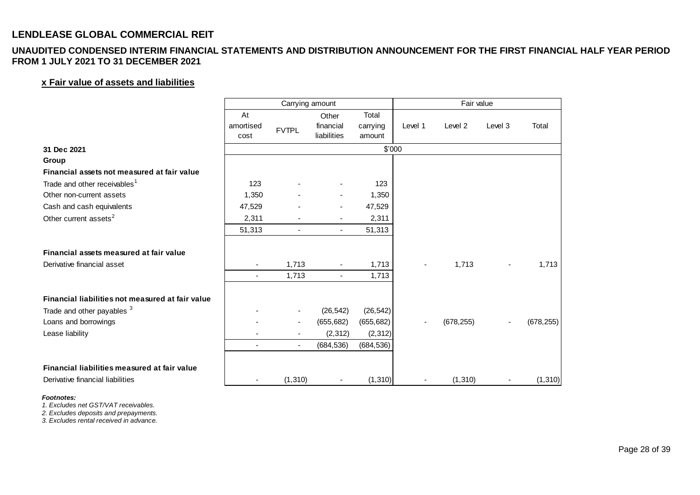### **UNAUDITED CONDENSED INTERIM FINANCIAL STATEMENTS AND DISTRIBUTION ANNOUNCEMENT FOR THE FIRST FINANCIAL HALF YEAR PERIOD FROM 1 JULY 2021 TO 31 DECEMBER 2021**

### **x Fair value of assets and liabilities**

| <b>I JULT ZUZ I TU 3T DECEMBER ZUZ I</b>         |                   |                          |                          |                    |         |            |                |            |
|--------------------------------------------------|-------------------|--------------------------|--------------------------|--------------------|---------|------------|----------------|------------|
| x Fair value of assets and liabilities           |                   |                          |                          |                    |         |            |                |            |
|                                                  |                   | Carrying amount          |                          |                    |         | Fair value |                |            |
|                                                  | At                |                          | Other                    | Total              |         |            |                |            |
|                                                  | amortised<br>cost | <b>FVTPL</b>             | financial<br>liabilities | carrying<br>amount | Level 1 | Level 2    | Level 3        | Total      |
| 31 Dec 2021                                      |                   |                          |                          | \$'000             |         |            |                |            |
| Group                                            |                   |                          |                          |                    |         |            |                |            |
| Financial assets not measured at fair value      |                   |                          |                          |                    |         |            |                |            |
| Trade and other receivables <sup>1</sup>         | 123               |                          |                          | 123                |         |            |                |            |
| Other non-current assets                         | 1,350             |                          |                          | 1,350              |         |            |                |            |
| Cash and cash equivalents                        | 47,529            |                          |                          | 47,529             |         |            |                |            |
| Other current assets <sup>2</sup>                | 2,311             |                          |                          | 2,311              |         |            |                |            |
|                                                  | 51,313            | $\blacksquare$           | $\blacksquare$           | 51,313             |         |            |                |            |
| Financial assets measured at fair value          |                   |                          |                          |                    |         |            |                |            |
| Derivative financial asset                       |                   | 1,713                    |                          | 1,713              |         | 1,713      | $\blacksquare$ | 1,713      |
|                                                  | $\blacksquare$    | 1,713                    |                          | 1,713              |         |            |                |            |
| Financial liabilities not measured at fair value |                   |                          |                          |                    |         |            |                |            |
| Trade and other payables 3                       |                   | $\overline{\phantom{a}}$ | (26, 542)                | (26, 542)          |         |            |                |            |
| Loans and borrowings                             |                   | $\overline{\phantom{a}}$ | (655, 682)               | (655, 682)         |         | (678, 255) |                | (678, 255) |
| Lease liability                                  |                   | ٠                        | (2, 312)                 | (2, 312)           |         |            |                |            |
|                                                  | $\blacksquare$    | $\blacksquare$           | (684, 536)               | (684, 536)         |         |            |                |            |
| Financial liabilities measured at fair value     |                   |                          |                          |                    |         |            |                |            |
| Derivative financial liabilities                 |                   | (1, 310)                 |                          | (1, 310)           |         | (1, 310)   |                | (1, 310)   |

#### *Footnotes:*

*1. Excludes net GST/VAT receivables.*

*2. Excludes deposits and prepayments.*

*3. Excludes rental received in advance.*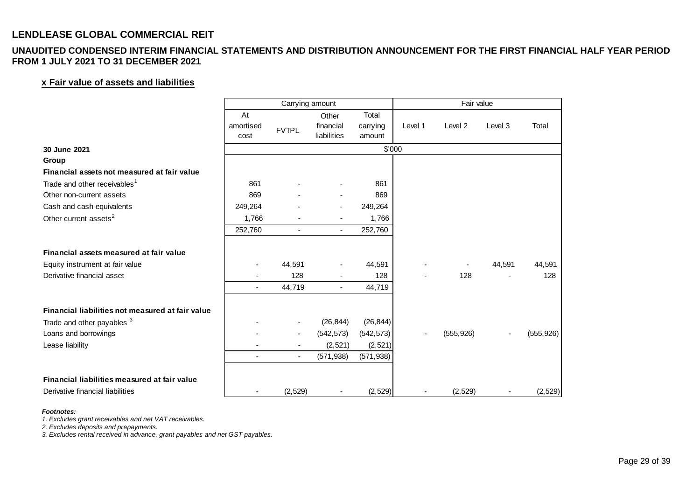### **UNAUDITED CONDENSED INTERIM FINANCIAL STATEMENTS AND DISTRIBUTION ANNOUNCEMENT FOR THE FIRST FINANCIAL HALF YEAR PERIOD FROM 1 JULY 2021 TO 31 DECEMBER 2021**

### **x Fair value of assets and liabilities**

| I JULI ZUZ I TU 31 DECEMBER ZUZ I                |                   |                 |                          |                    |         |            |         |            |
|--------------------------------------------------|-------------------|-----------------|--------------------------|--------------------|---------|------------|---------|------------|
| x Fair value of assets and liabilities           |                   |                 |                          |                    |         |            |         |            |
|                                                  |                   | Carrying amount |                          |                    |         | Fair value |         |            |
|                                                  | At                |                 | Other                    | Total              |         |            |         |            |
|                                                  | amortised<br>cost | <b>FVTPL</b>    | financial<br>liabilities | carrying<br>amount | Level 1 | Level 2    | Level 3 | Total      |
| 30 June 2021                                     |                   |                 |                          | \$'000             |         |            |         |            |
| Group                                            |                   |                 |                          |                    |         |            |         |            |
| Financial assets not measured at fair value      |                   |                 |                          |                    |         |            |         |            |
| Trade and other receivables <sup>1</sup>         | 861               |                 |                          | 861                |         |            |         |            |
| Other non-current assets                         | 869               |                 |                          | 869                |         |            |         |            |
| Cash and cash equivalents                        | 249,264           |                 |                          | 249,264            |         |            |         |            |
| Other current assets <sup>2</sup>                | 1,766             |                 |                          | 1,766              |         |            |         |            |
|                                                  | 252,760           | $\blacksquare$  | $\blacksquare$           | 252,760            |         |            |         |            |
| Financial assets measured at fair value          |                   |                 |                          |                    |         |            |         |            |
| Equity instrument at fair value                  |                   | 44,591          |                          | 44,591             |         |            | 44,591  | 44,591     |
| Derivative financial asset                       |                   | 128             |                          | 128                |         | 128        |         | 128        |
|                                                  | $\blacksquare$    | 44,719          |                          | 44,719             |         |            |         |            |
| Financial liabilities not measured at fair value |                   |                 |                          |                    |         |            |         |            |
| Trade and other payables <sup>3</sup>            |                   |                 | (26, 844)                | (26, 844)          |         |            |         |            |
| Loans and borrowings                             |                   |                 | (542, 573)               | (542, 573)         |         | (555, 926) |         | (555, 926) |
| Lease liability                                  |                   |                 | (2,521)                  | (2,521)            |         |            |         |            |
|                                                  | $\blacksquare$    | $\blacksquare$  | (571, 938)               | (571, 938)         |         |            |         |            |
| Financial liabilities measured at fair value     |                   |                 |                          |                    |         |            |         |            |
| Derivative financial liabilities                 |                   | (2, 529)        |                          | (2,529)            |         | (2, 529)   |         | (2,529)    |

#### *Footnotes:*

*1. Excludes grant receivables and net VAT receivables.*

*2. Excludes deposits and prepayments.*

*3. Excludes rental received in advance, grant payables and net GST payables.*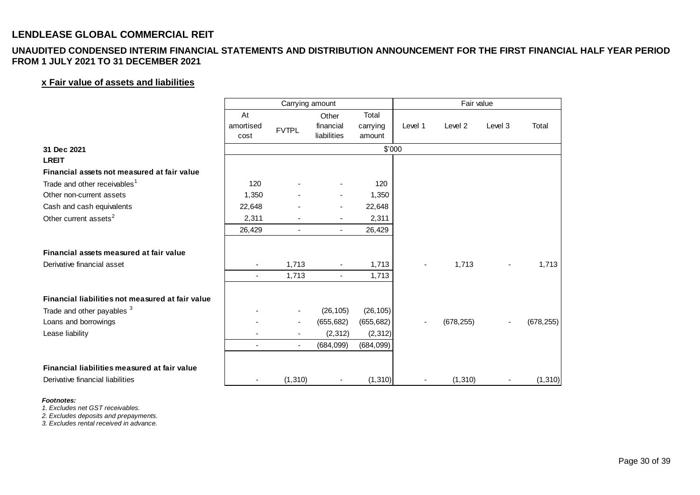### **UNAUDITED CONDENSED INTERIM FINANCIAL STATEMENTS AND DISTRIBUTION ANNOUNCEMENT FOR THE FIRST FINANCIAL HALF YEAR PERIOD FROM 1 JULY 2021 TO 31 DECEMBER 2021**

### **x Fair value of assets and liabilities**

| <b>I JULT ZUZ I TU 3T DECEMBER ZUZ I</b>         |                   |                          |                          |                    |         |            |                |            |
|--------------------------------------------------|-------------------|--------------------------|--------------------------|--------------------|---------|------------|----------------|------------|
| x Fair value of assets and liabilities           |                   |                          |                          |                    |         |            |                |            |
|                                                  |                   | Carrying amount          |                          |                    |         | Fair value |                |            |
|                                                  | At                |                          | Other                    | Total              |         |            |                |            |
|                                                  | amortised<br>cost | <b>FVTPL</b>             | financial<br>liabilities | carrying<br>amount | Level 1 | Level 2    | Level 3        | Total      |
| 31 Dec 2021                                      |                   |                          |                          | \$'000             |         |            |                |            |
| <b>LREIT</b>                                     |                   |                          |                          |                    |         |            |                |            |
| Financial assets not measured at fair value      |                   |                          |                          |                    |         |            |                |            |
| Trade and other receivables <sup>1</sup>         | 120               |                          |                          | 120                |         |            |                |            |
| Other non-current assets                         | 1,350             |                          |                          | 1,350              |         |            |                |            |
| Cash and cash equivalents                        | 22,648            |                          |                          | 22,648             |         |            |                |            |
| Other current assets <sup>2</sup>                | 2,311             |                          |                          | 2,311              |         |            |                |            |
|                                                  | 26,429            | $\sim$                   | $\blacksquare$           | 26,429             |         |            |                |            |
| Financial assets measured at fair value          |                   |                          |                          |                    |         |            |                |            |
| Derivative financial asset                       |                   | 1,713                    |                          | 1,713              |         | 1,713      | $\blacksquare$ | 1,713      |
|                                                  | $\blacksquare$    | 1,713                    |                          | 1,713              |         |            |                |            |
| Financial liabilities not measured at fair value |                   |                          |                          |                    |         |            |                |            |
| Trade and other payables 3                       |                   | $\overline{\phantom{a}}$ | (26, 105)                | (26, 105)          |         |            |                |            |
| Loans and borrowings                             |                   | $\overline{\phantom{a}}$ | (655, 682)               | (655, 682)         |         | (678, 255) |                | (678, 255) |
| Lease liability                                  |                   |                          | (2, 312)                 | (2, 312)           |         |            |                |            |
|                                                  | $\blacksquare$    | $\sim$                   | (684, 099)               | (684, 099)         |         |            |                |            |
| Financial liabilities measured at fair value     |                   |                          |                          |                    |         |            |                |            |
| Derivative financial liabilities                 |                   | (1, 310)                 |                          | (1, 310)           |         | (1, 310)   |                | (1, 310)   |

#### *Footnotes:*

*1. Excludes net GST receivables.*

*2. Excludes deposits and prepayments.*

*3. Excludes rental received in advance.*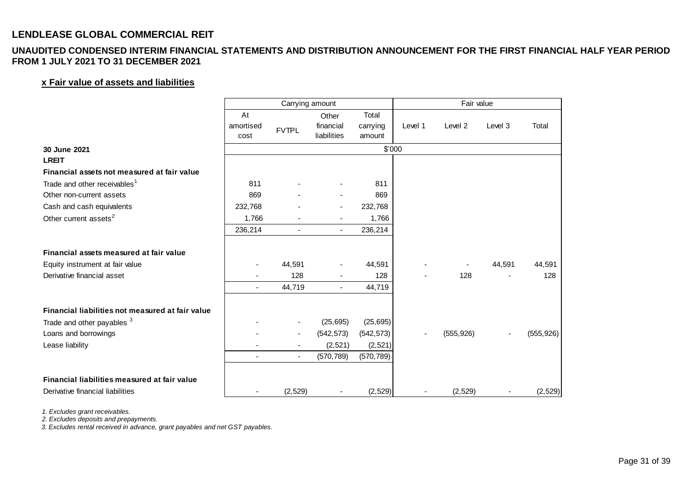### **UNAUDITED CONDENSED INTERIM FINANCIAL STATEMENTS AND DISTRIBUTION ANNOUNCEMENT FOR THE FIRST FINANCIAL HALF YEAR PERIOD FROM 1 JULY 2021 TO 31 DECEMBER 2021**

### **x Fair value of assets and liabilities**

| <b>I JULT ZUZ I TU 3T DECEMBER ZUZ I</b>         |                   |                 |                          |                    |         |            |         |            |
|--------------------------------------------------|-------------------|-----------------|--------------------------|--------------------|---------|------------|---------|------------|
| x Fair value of assets and liabilities           |                   |                 |                          |                    |         |            |         |            |
|                                                  |                   | Carrying amount |                          |                    |         | Fair value |         |            |
|                                                  | At                |                 | Other                    | Total              |         |            |         |            |
|                                                  | amortised<br>cost | <b>FVTPL</b>    | financial<br>liabilities | carrying<br>amount | Level 1 | Level 2    | Level 3 | Total      |
| 30 June 2021                                     |                   |                 |                          | \$'000             |         |            |         |            |
| <b>LREIT</b>                                     |                   |                 |                          |                    |         |            |         |            |
| Financial assets not measured at fair value      |                   |                 |                          |                    |         |            |         |            |
| Trade and other receivables <sup>1</sup>         | 811               |                 |                          | 811                |         |            |         |            |
| Other non-current assets                         | 869               |                 |                          | 869                |         |            |         |            |
| Cash and cash equivalents                        | 232,768           |                 |                          | 232,768            |         |            |         |            |
| Other current assets <sup>2</sup>                | 1,766             |                 |                          | 1,766              |         |            |         |            |
|                                                  | 236,214           | $\blacksquare$  | $\blacksquare$           | 236,214            |         |            |         |            |
| Financial assets measured at fair value          |                   |                 |                          |                    |         |            |         |            |
| Equity instrument at fair value                  |                   | 44,591          |                          | 44,591             |         |            | 44,591  | 44,591     |
| Derivative financial asset                       |                   | 128             |                          | 128                |         | 128        |         | 128        |
|                                                  |                   | 44,719          |                          | 44,719             |         |            |         |            |
| Financial liabilities not measured at fair value |                   |                 |                          |                    |         |            |         |            |
| Trade and other payables <sup>3</sup>            |                   |                 | (25, 695)                | (25, 695)          |         |            |         |            |
| Loans and borrowings                             |                   |                 | (542, 573)               | (542, 573)         |         | (555, 926) |         | (555, 926) |
| Lease liability                                  |                   |                 | (2,521)                  | (2,521)            |         |            |         |            |
|                                                  | $\blacksquare$    | $\blacksquare$  | (570, 789)               | (570, 789)         |         |            |         |            |
| Financial liabilities measured at fair value     |                   |                 |                          |                    |         |            |         |            |
| Derivative financial liabilities                 |                   | (2,529)         |                          | (2,529)            |         | (2, 529)   |         | (2,529)    |

*1. Excludes grant receivables.*

*2. Excludes deposits and prepayments.*

*3. Excludes rental received in advance, grant payables and net GST payables.*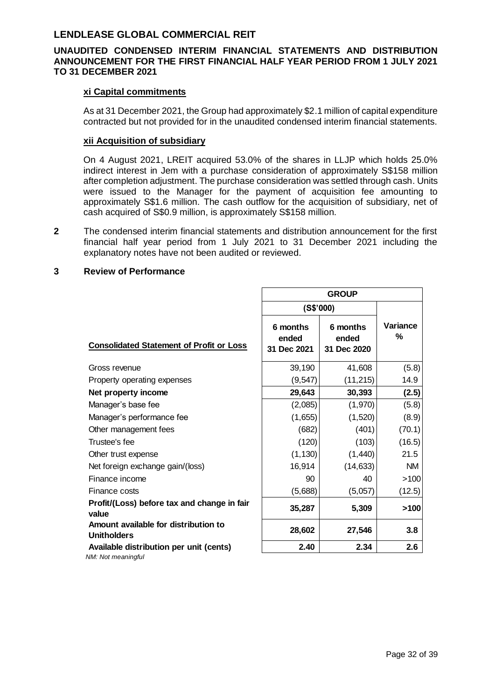### **UNAUDITED CONDENSED INTERIM FINANCIAL STATEMENTS AND DISTRIBUTION ANNOUNCEMENT FOR THE FIRST FINANCIAL HALF YEAR PERIOD FROM 1 JULY 2021 TO 31 DECEMBER 2021**

#### **xi Capital commitments**

As at 31 December 2021, the Group had approximately \$2.1 million of capital expenditure contracted but not provided for in the unaudited condensed interim financial statements.

### **xii Acquisition of subsidiary**

On 4 August 2021, LREIT acquired 53.0% of the shares in LLJP which holds 25.0% indirect interest in Jem with a purchase consideration of approximately S\$158 million after completion adjustment. The purchase consideration was settled through cash. Units were issued to the Manager for the payment of acquisition fee amounting to approximately S\$1.6 million. The cash outflow for the acquisition of subsidiary, net of cash acquired of S\$0.9 million, is approximately S\$158 million.

**2** The condensed interim financial statements and distribution announcement for the first financial half year period from 1 July 2021 to 31 December 2021 including the explanatory notes have not been audited or reviewed.

### **3 Review of Performance**

|                                                            | <b>GROUP</b>                     |                                  |               |  |
|------------------------------------------------------------|----------------------------------|----------------------------------|---------------|--|
|                                                            | (S\$'000)                        |                                  |               |  |
| <b>Consolidated Statement of Profit or Loss</b>            | 6 months<br>ended<br>31 Dec 2021 | 6 months<br>ended<br>31 Dec 2020 | Variance<br>% |  |
| Gross revenue                                              | 39,190                           | 41,608                           | (5.8)         |  |
| Property operating expenses                                | (9, 547)                         | (11, 215)                        | 14.9          |  |
| Net property income                                        | 29,643                           | 30,393                           | (2.5)         |  |
| Manager's base fee                                         | (2,085)                          | (1,970)                          | (5.8)         |  |
| Manager's performance fee                                  | (1,655)                          | (1,520)                          | (8.9)         |  |
| Other management fees                                      | (682)                            | (401)                            | (70.1)        |  |
| Trustee's fee                                              | (120)                            | (103)                            | (16.5)        |  |
| Other trust expense                                        | (1, 130)                         | (1,440)                          | 21.5          |  |
| Net foreign exchange gain/(loss)                           | 16,914                           | (14, 633)                        | <b>NM</b>     |  |
| Finance income                                             | 90                               | 40                               | >100          |  |
| Finance costs                                              | (5,688)                          | (5,057)                          | (12.5)        |  |
| Profit/(Loss) before tax and change in fair<br>value       | 35,287                           | 5,309                            | >100          |  |
| Amount available for distribution to<br><b>Unitholders</b> | 28,602                           | 27,546                           | 3.8           |  |
| Available distribution per unit (cents)                    | 2.40                             | 2.34                             | 2.6           |  |
| NM: Not meaningful                                         |                                  |                                  |               |  |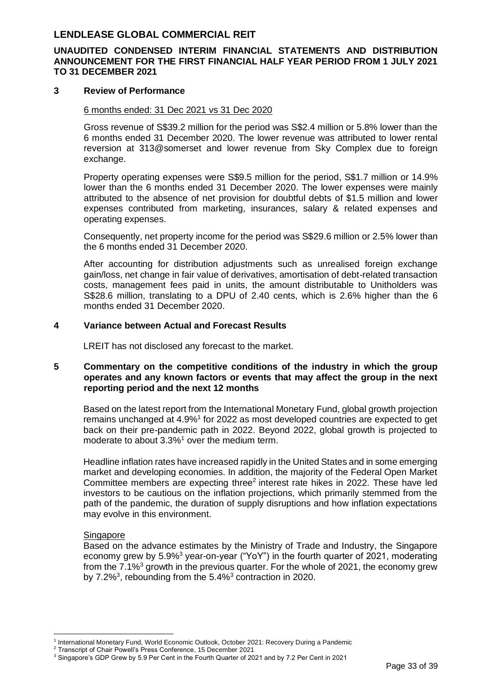### **UNAUDITED CONDENSED INTERIM FINANCIAL STATEMENTS AND DISTRIBUTION ANNOUNCEMENT FOR THE FIRST FINANCIAL HALF YEAR PERIOD FROM 1 JULY 2021 TO 31 DECEMBER 2021**

#### **3 Review of Performance**

#### 6 months ended: 31 Dec 2021 vs 31 Dec 2020

Gross revenue of S\$39.2 million for the period was S\$2.4 million or 5.8% lower than the 6 months ended 31 December 2020. The lower revenue was attributed to lower rental reversion at 313@somerset and lower revenue from Sky Complex due to foreign exchange.

Property operating expenses were S\$9.5 million for the period, S\$1.7 million or 14.9% lower than the 6 months ended 31 December 2020. The lower expenses were mainly attributed to the absence of net provision for doubtful debts of \$1.5 million and lower expenses contributed from marketing, insurances, salary & related expenses and operating expenses.

Consequently, net property income for the period was S\$29.6 million or 2.5% lower than the 6 months ended 31 December 2020.

After accounting for distribution adjustments such as unrealised foreign exchange gain/loss, net change in fair value of derivatives, amortisation of debt-related transaction costs, management fees paid in units, the amount distributable to Unitholders was S\$28.6 million, translating to a DPU of 2.40 cents, which is 2.6% higher than the 6 months ended 31 December 2020.

#### **4 Variance between Actual and Forecast Results**

LREIT has not disclosed any forecast to the market.

#### **5 Commentary on the competitive conditions of the industry in which the group operates and any known factors or events that may affect the group in the next reporting period and the next 12 months**

Based on the latest report from the International Monetary Fund, global growth projection remains unchanged at 4.9%<sup>1</sup> for 2022 as most developed countries are expected to get back on their pre-pandemic path in 2022. Beyond 2022, global growth is projected to moderate to about 3.3%<sup>1</sup> over the medium term.

Headline inflation rates have increased rapidly in the United States and in some emerging market and developing economies. In addition, the majority of the Federal Open Market Committee members are expecting three<sup>2</sup> interest rate hikes in 2022. These have led investors to be cautious on the inflation projections, which primarily stemmed from the path of the pandemic, the duration of supply disruptions and how inflation expectations may evolve in this environment.

#### **Singapore**

Based on the advance estimates by the Ministry of Trade and Industry, the Singapore economy grew by 5.9%<sup>3</sup> year-on-year ("YoY") in the fourth quarter of 2021, moderating from the  $7.1\%$ <sup>3</sup> growth in the previous quarter. For the whole of 2021, the economy grew by 7.2%<sup>3</sup>, rebounding from the 5.4%<sup>3</sup> contraction in 2020.

<sup>1</sup> International Monetary Fund, World Economic Outlook, October 2021: Recovery During a Pandemic

<sup>2</sup> Transcript of Chair Powell's Press Conference, 15 December 2021

<sup>&</sup>lt;sup>3</sup> Singapore's GDP Grew by 5.9 Per Cent in the Fourth Quarter of 2021 and by 7.2 Per Cent in 2021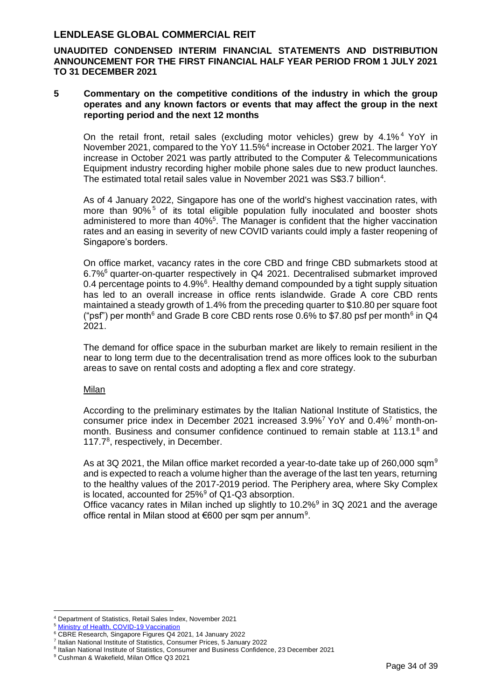**UNAUDITED CONDENSED INTERIM FINANCIAL STATEMENTS AND DISTRIBUTION ANNOUNCEMENT FOR THE FIRST FINANCIAL HALF YEAR PERIOD FROM 1 JULY 2021 TO 31 DECEMBER 2021**

#### **5 Commentary on the competitive conditions of the industry in which the group operates and any known factors or events that may affect the group in the next reporting period and the next 12 months**

On the retail front, retail sales (excluding motor vehicles) grew by 4.1% <sup>4</sup> YoY in November 2021, compared to the YoY 11.5%<sup>4</sup> increase in October 2021. The larger YoY increase in October 2021 was partly attributed to the Computer & Telecommunications Equipment industry recording higher mobile phone sales due to new product launches. The estimated total retail sales value in November 2021 was S\$3.7 billion<sup>4</sup>.

As of 4 January 2022, Singapore has one of the world's highest vaccination rates, with more than 90%<sup>5</sup> of its total eligible population fully inoculated and booster shots administered to more than 40%<sup>5</sup>. The Manager is confident that the higher vaccination rates and an easing in severity of new COVID variants could imply a faster reopening of Singapore's borders.

On office market, vacancy rates in the core CBD and fringe CBD submarkets stood at 6.7%<sup>6</sup> quarter-on-quarter respectively in Q4 2021. Decentralised submarket improved 0.4 percentage points to 4.9%<sup>6</sup>. Healthy demand compounded by a tight supply situation has led to an overall increase in office rents islandwide. Grade A core CBD rents maintained a steady growth of 1.4% from the preceding quarter to \$10.80 per square foot ("psf") per month<sup>6</sup> and Grade B core CBD rents rose 0.6% to \$7.80 psf per month<sup>6</sup> in Q4 2021.

The demand for office space in the suburban market are likely to remain resilient in the near to long term due to the decentralisation trend as more offices look to the suburban areas to save on rental costs and adopting a flex and core strategy.

#### Milan

According to the preliminary estimates by the Italian National Institute of Statistics, the consumer price index in December 2021 increased 3.9%<sup>7</sup> YoY and 0.4%<sup>7</sup> month-onmonth. Business and consumer confidence continued to remain stable at  $113.1^8$  and 117.7<sup>8</sup>, respectively, in December.

As at 3Q 2021, the Milan office market recorded a year-to-date take up of 260,000 sqm<sup>9</sup> and is expected to reach a volume higher than the average of the last ten years, returning to the healthy values of the 2017-2019 period. The Periphery area, where Sky Complex is located, accounted for  $25\%$ <sup>9</sup> of Q1-Q3 absorption.

Office vacancy rates in Milan inched up slightly to 10.2% $9$  in 3Q 2021 and the average office rental in Milan stood at €600 per sqm per annum<sup>9</sup>.

<sup>4</sup> Department of Statistics, Retail Sales Index, November 2021

[Ministry of Health, COVID-19 Vaccination](https://www.moh.gov.sg/covid-19/vaccination)

<sup>6</sup> CBRE Research, Singapore Figures Q4 2021, 14 January 2022

<sup>7</sup> Italian National Institute of Statistics, Consumer Prices, 5 January 2022

<sup>8</sup> Italian National Institute of Statistics, Consumer and Business Confidence, 23 December 2021

<sup>9</sup> Cushman & Wakefield, Milan Office Q3 2021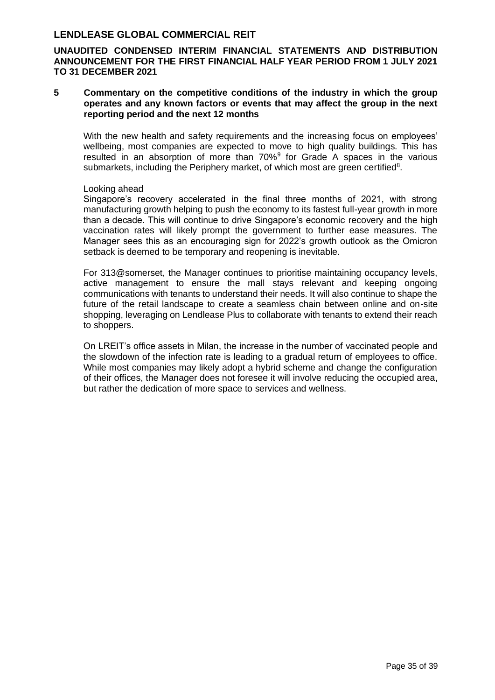**UNAUDITED CONDENSED INTERIM FINANCIAL STATEMENTS AND DISTRIBUTION ANNOUNCEMENT FOR THE FIRST FINANCIAL HALF YEAR PERIOD FROM 1 JULY 2021 TO 31 DECEMBER 2021**

**5 Commentary on the competitive conditions of the industry in which the group operates and any known factors or events that may affect the group in the next reporting period and the next 12 months** 

With the new health and safety requirements and the increasing focus on employees' wellbeing, most companies are expected to move to high quality buildings. This has resulted in an absorption of more than  $70\%$ <sup>9</sup> for Grade A spaces in the various submarkets, including the Periphery market, of which most are green certified<sup>8</sup>.

#### Looking ahead

Singapore's recovery accelerated in the final three months of 2021, with strong manufacturing growth helping to push the economy to its fastest full-year growth in more than a decade. This will continue to drive Singapore's economic recovery and the high vaccination rates will likely prompt the government to further ease measures. The Manager sees this as an encouraging sign for 2022's growth outlook as the Omicron setback is deemed to be temporary and reopening is inevitable.

For 313@somerset, the Manager continues to prioritise maintaining occupancy levels, active management to ensure the mall stays relevant and keeping ongoing communications with tenants to understand their needs. It will also continue to shape the future of the retail landscape to create a seamless chain between online and on-site shopping, leveraging on Lendlease Plus to collaborate with tenants to extend their reach to shoppers.

On LREIT's office assets in Milan, the increase in the number of vaccinated people and the slowdown of the infection rate is leading to a gradual return of employees to office. While most companies may likely adopt a hybrid scheme and change the configuration of their offices, the Manager does not foresee it will involve reducing the occupied area, but rather the dedication of more space to services and wellness.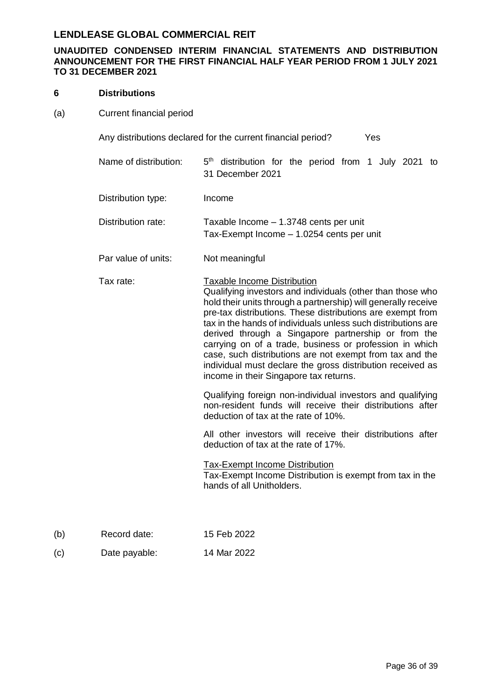### **UNAUDITED CONDENSED INTERIM FINANCIAL STATEMENTS AND DISTRIBUTION ANNOUNCEMENT FOR THE FIRST FINANCIAL HALF YEAR PERIOD FROM 1 JULY 2021 TO 31 DECEMBER 2021**

#### **6 Distributions**

(a) Current financial period

Any distributions declared for the current financial period? Yes

| Name of distribution: | 5 <sup>th</sup> distribution for the period from 1 July 2021 to<br>31 December 2021                                                                                                                                                                                                                                                                                                                                                                                                                                                                                                     |
|-----------------------|-----------------------------------------------------------------------------------------------------------------------------------------------------------------------------------------------------------------------------------------------------------------------------------------------------------------------------------------------------------------------------------------------------------------------------------------------------------------------------------------------------------------------------------------------------------------------------------------|
| Distribution type:    | Income                                                                                                                                                                                                                                                                                                                                                                                                                                                                                                                                                                                  |
| Distribution rate:    | Taxable Income - 1.3748 cents per unit<br>Tax-Exempt Income - 1.0254 cents per unit                                                                                                                                                                                                                                                                                                                                                                                                                                                                                                     |
| Par value of units:   | Not meaningful                                                                                                                                                                                                                                                                                                                                                                                                                                                                                                                                                                          |
| Tax rate:             | <b>Taxable Income Distribution</b><br>Qualifying investors and individuals (other than those who<br>hold their units through a partnership) will generally receive<br>pre-tax distributions. These distributions are exempt from<br>tax in the hands of individuals unless such distributions are<br>derived through a Singapore partnership or from the<br>carrying on of a trade, business or profession in which<br>case, such distributions are not exempt from tax and the<br>individual must declare the gross distribution received as<br>income in their Singapore tax returns. |
|                       | Qualifying foreign non-individual investors and qualifying<br>non-resident funds will receive their distributions after<br>deduction of tax at the rate of 10%.                                                                                                                                                                                                                                                                                                                                                                                                                         |
|                       | All other investors will receive their distributions after<br>deduction of tax at the rate of 17%.                                                                                                                                                                                                                                                                                                                                                                                                                                                                                      |

Tax-Exempt Income Distribution

Tax-Exempt Income Distribution is exempt from tax in the hands of all Unitholders.

- (b) Record date: 15 Feb 2022
- (c) Date payable: 14 Mar 2022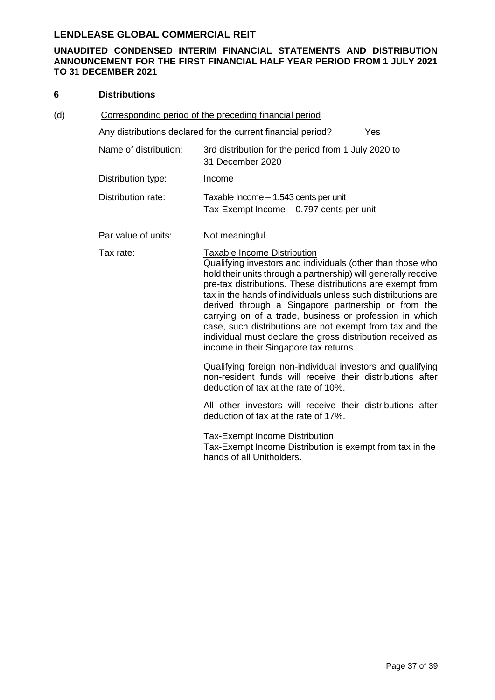### **UNAUDITED CONDENSED INTERIM FINANCIAL STATEMENTS AND DISTRIBUTION ANNOUNCEMENT FOR THE FIRST FINANCIAL HALF YEAR PERIOD FROM 1 JULY 2021 TO 31 DECEMBER 2021**

#### **6 Distributions**

| (d) | Corresponding period of the preceding financial period |                                                                                                                                                                                                                                                                                                                                                                                                                                                                                                                                                                                         |
|-----|--------------------------------------------------------|-----------------------------------------------------------------------------------------------------------------------------------------------------------------------------------------------------------------------------------------------------------------------------------------------------------------------------------------------------------------------------------------------------------------------------------------------------------------------------------------------------------------------------------------------------------------------------------------|
|     |                                                        | Any distributions declared for the current financial period?<br>Yes                                                                                                                                                                                                                                                                                                                                                                                                                                                                                                                     |
|     | Name of distribution:                                  | 3rd distribution for the period from 1 July 2020 to<br>31 December 2020                                                                                                                                                                                                                                                                                                                                                                                                                                                                                                                 |
|     | Distribution type:                                     | Income                                                                                                                                                                                                                                                                                                                                                                                                                                                                                                                                                                                  |
|     | Distribution rate:                                     | Taxable Income - 1.543 cents per unit<br>Tax-Exempt Income - 0.797 cents per unit                                                                                                                                                                                                                                                                                                                                                                                                                                                                                                       |
|     | Par value of units:                                    | Not meaningful                                                                                                                                                                                                                                                                                                                                                                                                                                                                                                                                                                          |
|     | Tax rate:                                              | <b>Taxable Income Distribution</b><br>Qualifying investors and individuals (other than those who<br>hold their units through a partnership) will generally receive<br>pre-tax distributions. These distributions are exempt from<br>tax in the hands of individuals unless such distributions are<br>derived through a Singapore partnership or from the<br>carrying on of a trade, business or profession in which<br>case, such distributions are not exempt from tax and the<br>individual must declare the gross distribution received as<br>income in their Singapore tax returns. |
|     |                                                        | Qualifying foreign non-individual investors and qualifying<br>non-resident funds will receive their distributions after<br>deduction of tax at the rate of 10%.                                                                                                                                                                                                                                                                                                                                                                                                                         |
|     |                                                        | All other investors will receive their distributions after<br>deduction of tax at the rate of 17%.                                                                                                                                                                                                                                                                                                                                                                                                                                                                                      |
|     |                                                        | <b>Tax-Exempt Income Distribution</b><br>Tax-Exempt Income Distribution is exempt from tax in the<br>hands of all Unitholders.                                                                                                                                                                                                                                                                                                                                                                                                                                                          |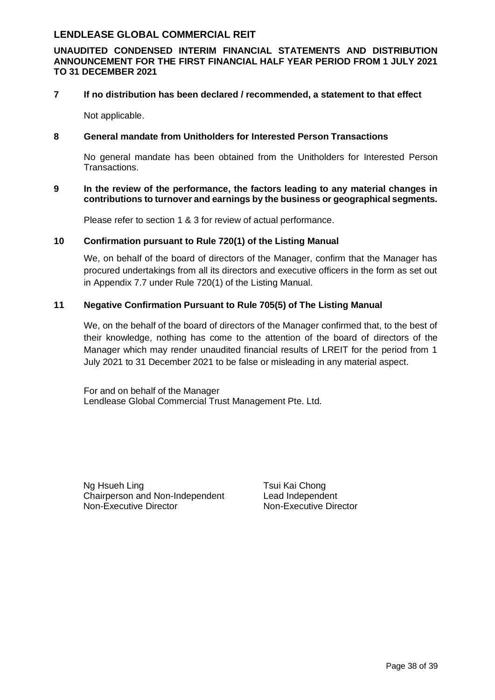### **UNAUDITED CONDENSED INTERIM FINANCIAL STATEMENTS AND DISTRIBUTION ANNOUNCEMENT FOR THE FIRST FINANCIAL HALF YEAR PERIOD FROM 1 JULY 2021 TO 31 DECEMBER 2021**

#### **7 If no distribution has been declared / recommended, a statement to that effect**

Not applicable.

### **8 General mandate from Unitholders for Interested Person Transactions**

No general mandate has been obtained from the Unitholders for Interested Person Transactions.

#### **9 In the review of the performance, the factors leading to any material changes in contributions to turnover and earnings by the business or geographical segments.**

Please refer to section 1 & 3 for review of actual performance.

### **10 Confirmation pursuant to Rule 720(1) of the Listing Manual**

We, on behalf of the board of directors of the Manager, confirm that the Manager has procured undertakings from all its directors and executive officers in the form as set out in Appendix 7.7 under Rule 720(1) of the Listing Manual.

### **11 Negative Confirmation Pursuant to Rule 705(5) of The Listing Manual**

We, on the behalf of the board of directors of the Manager confirmed that, to the best of their knowledge, nothing has come to the attention of the board of directors of the Manager which may render unaudited financial results of LREIT for the period from 1 July 2021 to 31 December 2021 to be false or misleading in any material aspect.

For and on behalf of the Manager Lendlease Global Commercial Trust Management Pte. Ltd.

Ng Hsueh Ling Tsui Kai Chong Chairperson and Non-Independent Lead Independent Non-Executive Director Non-Executive Director